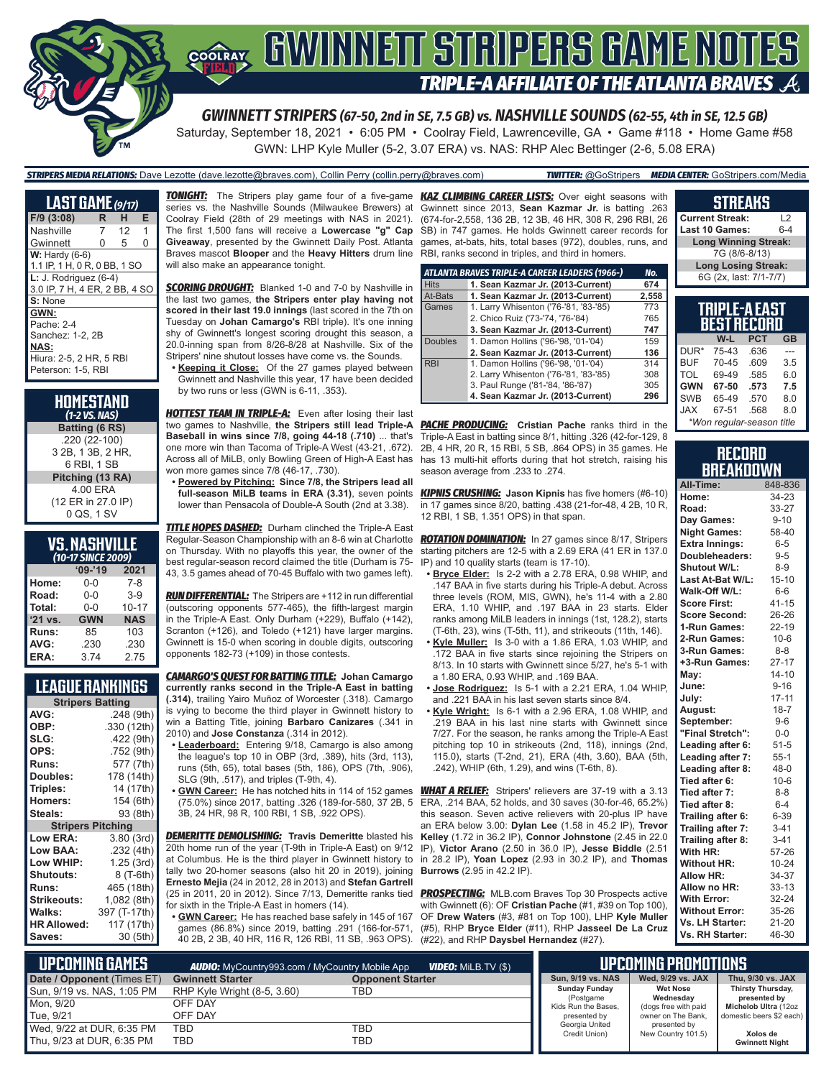

Saturday, September 18, 2021 • 6:05 PM • Coolray Field, Lawrenceville, GA • Game #118 • Home Game #58

GWN: LHP Kyle Muller (5-2, 3.07 ERA) vs. NAS: RHP Alec Bettinger (2-6, 5.08 ERA)

### *STRIPERS MEDIA RELATIONS:* Dave Lezotte (dave.lezotte@braves.com), Collin Perry (collin.perry@braves.com) *TWITTER:* @GoStripers *MEDIA CENTER:* GoStripers.com/Media

| <b>LAST GAME</b> (9/17)       |    |                 |   |
|-------------------------------|----|-----------------|---|
| $F/9$ (3:08)                  | R. | н.              | Е |
| Nashville                     | 7  | 12 <sup>2</sup> | 1 |
| Gwinnett                      | 0  | 5               | O |
| $W:$ Hardy (6-6)              |    |                 |   |
| 1.1 IP, 1 H, 0 R, 0 BB, 1 SO  |    |                 |   |
| $L: J.$ Rodriguez $(6-4)$     |    |                 |   |
| 3.0 IP, 7 H, 4 ER, 2 BB, 4 SO |    |                 |   |
| S: None                       |    |                 |   |
| GWN:                          |    |                 |   |
| Pache: 2-4                    |    |                 |   |
| Sanchez: 1-2. 2B              |    |                 |   |
| <b>NAS:</b>                   |    |                 |   |
| Hiura: 2-5, 2 HR, 5 RBI       |    |                 |   |
| Peterson: 1-5, RBI            |    |                 |   |

| HOMESTAND<br>$(1-2$ VS. NAS)                      |
|---------------------------------------------------|
| Batting (6 RS)                                    |
| .220 (22-100)<br>3 2B, 1 3B, 2 HR,<br>6 RBI, 1 SB |
| Pitching (13 RA)                                  |
| 4.00 ERA<br>(12 ER in 27.0 IP)                    |
| 0 QS, 1 SV                                        |

### **VS. NASHVILLE**

|           | (10-17 SINCE 2009) |            |
|-----------|--------------------|------------|
|           | $09 - 19$          | 2021       |
| Home:     | 0-0                | 7-8        |
| Road:     | $0 - 0$            | $3-9$      |
| Total:    | $0 - 0$            | $10 - 17$  |
| $'21$ vs. | <b>GWN</b>         | <b>NAS</b> |
| Runs:     | 85                 | 103        |
| AVG:      | .230               | .230       |
| ERA:      | 3.74               | 2.75       |

### **LEAGUE RANKINGS**

| <b>Stripers Batting</b>  |              |
|--------------------------|--------------|
| AVG:                     | .248 (9th)   |
| OBP:                     | .330 (12th)  |
| SLG:                     | .422 (9th)   |
| OPS:                     | .752 (9th)   |
| <b>Runs:</b>             | 577 (7th)    |
| Doubles:                 | 178 (14th)   |
| Triples:                 | 14 (17th)    |
| <b>Homers:</b>           | 154 (6th)    |
| Steals:                  | 93 (8th)     |
| <b>Stripers Pitching</b> |              |
| <b>Low ERA:</b>          | 3.80(3rd)    |
| Low BAA:                 | .232 (4th)   |
| Low WHIP:                | 1.25(3rd)    |
| <b>Shutouts:</b>         | 8 (T-6th)    |
| Runs:                    | 465 (18th)   |
| <b>Strikeouts:</b>       | 1,082 (8th)  |
| Walks:                   | 397 (T-17th) |
| <b>HR Allowed:</b>       | 117 (17th)   |
| Saves:                   | 30 (5th)     |

*TONIGHT:* The Stripers play game four of a five-game *KAZ CLIMBING CAREER LISTS:* Over eight seasons with series vs. the Nashville Sounds (Milwaukee Brewers) at Coolray Field (28th of 29 meetings with NAS in 2021). The first 1,500 fans will receive a **Lowercase "g" Cap Giveaway**, presented by the Gwinnett Daily Post. Atlanta Braves mascot **Blooper** and the **Heavy Hitters** drum line will also make an appearance tonight.

**SCORING DROUGHT:** Blanked 1-0 and 7-0 by Nashville in the last two games, **the Stripers enter play having not scored in their last 19.0 innings** (last scored in the 7th on Tuesday on **Johan Camargo's** RBI triple). It's one inning shy of Gwinnett's longest scoring drought this season, a 20.0-inning span from 8/26-8/28 at Nashville. Six of the Stripers' nine shutout losses have come vs. the Sounds.

**• Keeping it Close:** Of the 27 games played between Gwinnett and Nashville this year, 17 have been decided by two runs or less (GWN is 6-11, .353).

**HOTTEST TEAM IN TRIPLE-A:** Even after losing their last two games to Nashville, **the Stripers still lead Triple-A Baseball in wins since 7/8, going 44-18 (.710)** ... that's one more win than Tacoma of Triple-A West (43-21, .672). Across all of MiLB, only Bowling Green of High-A East has won more games since 7/8 (46-17, .730).

**• Powered by Pitching: Since 7/8, the Stripers lead all full-season MiLB teams in ERA (3.31)**, seven points lower than Pensacola of Double-A South (2nd at 3.38).

*TITLE HOPES DASHED:* Durham clinched the Triple-A East Regular-Season Championship with an 8-6 win at Charlotte on Thursday. With no playoffs this year, the owner of the best regular-season record claimed the title (Durham is 75- 43, 3.5 games ahead of 70-45 Buffalo with two games left).

*RUN DIFFERENTIAL:* The Stripers are +112 in run differential (outscoring opponents 577-465), the fifth-largest margin in the Triple-A East. Only Durham (+229), Buffalo (+142), Scranton (+126), and Toledo (+121) have larger margins. Gwinnett is 15-0 when scoring in double digits, outscoring opponents 182-73 (+109) in those contests.

*CAMARGO'S QUEST FOR BATTING TITLE:* **Johan Camargo currently ranks second in the Triple-A East in batting (.314)**, trailing Yairo Muñoz of Worcester (.318). Camargo is vying to become the third player in Gwinnett history to win a Batting Title, joining **Barbaro Canizares** (.341 in 2010) and **Jose Constanza** (.314 in 2012).

- **• Leaderboard:** Entering 9/18, Camargo is also among the league's top 10 in OBP (3rd, .389), hits (3rd, 113), runs (5th, 65), total bases (5th, 186), OPS (7th, .906), SLG (9th, .517), and triples (T-9th, 4).
- **• GWN Career:** He has notched hits in 114 of 152 games 3B, 24 HR, 98 R, 100 RBI, 1 SB, .922 OPS).

*DEMERITTE DEMOLISHING:* **Travis Demeritte** blasted his 20th home run of the year (T-9th in Triple-A East) on 9/12 at Columbus. He is the third player in Gwinnett history to in 28.2 IP), **Yoan Lopez** (2.93 in 30.2 IP), and **Thomas**  tally two 20-homer seasons (also hit 20 in 2019), joining **Ernesto Mejia** (24 in 2012, 28 in 2013) and **Stefan Gartrell** (25 in 2011, 20 in 2012). Since 7/13, Demeritte ranks tied for sixth in the Triple-A East in homers (14).

**• GWN Career:** He has reached base safely in 145 of 167 games (86.8%) since 2019, batting .291 (166-for-571, 40 2B, 2 3B, 40 HR, 116 R, 126 RBI, 11 SB, .963 OPS).

Gwinnett since 2013, **Sean Kazmar Jr.** is batting .263 (674-for-2,558, 136 2B, 12 3B, 46 HR, 308 R, 296 RBI, 26 SB) in 747 games. He holds Gwinnett career records for games, at-bats, hits, total bases (972), doubles, runs, and RBI, ranks second in triples, and third in homers.

|                | ATLANTA BRAVES TRIPLE-A CAREER LEADERS (1966-) | No.   |
|----------------|------------------------------------------------|-------|
| <b>Hits</b>    | 1. Sean Kazmar Jr. (2013-Current)              | 674   |
| At-Bats        | 1. Sean Kazmar Jr. (2013-Current)              | 2,558 |
| Games          | 1. Larry Whisenton ('76-'81, '83-'85)          | 773   |
|                | 2. Chico Ruiz ('73-'74, '76-'84)               | 765   |
|                | 3. Sean Kazmar Jr. (2013-Current)              | 747   |
| <b>Doubles</b> | 1. Damon Hollins ('96-'98, '01-'04)            | 159   |
|                | 2. Sean Kazmar Jr. (2013-Current)              | 136   |
| <b>RBI</b>     | 1. Damon Hollins ('96-'98, '01-'04)            | 314   |
|                | 2. Larry Whisenton ('76-'81, '83-'85)          | 308   |
|                | 3. Paul Runge ('81-'84, '86-'87)               | 305   |
|                | 4. Sean Kazmar Jr. (2013-Current)              | 296   |

**PACHE PRODUCING:** Cristian Pache ranks third in the Triple-A East in batting since 8/1, hitting .326 (42-for-129, 8 2B, 4 HR, 20 R, 15 RBI, 5 SB, .864 OPS) in 35 games. He has 13 multi-hit efforts during that hot stretch, raising his season average from .233 to .274.

*KIPNIS CRUSHING:* **Jason Kipnis** has five homers (#6-10) in 17 games since 8/20, batting .438 (21-for-48, 4 2B, 10 R, 12 RBI, 1 SB, 1.351 OPS) in that span.

*ROTATION DOMINATION:* In 27 games since 8/17, Stripers starting pitchers are 12-5 with a 2.69 ERA (41 ER in 137.0 IP) and 10 quality starts (team is 17-10).

- **• Bryce Elder:** Is 2-2 with a 2.78 ERA, 0.98 WHIP, and .147 BAA in five starts during his Triple-A debut. Across three levels (ROM, MIS, GWN), he's 11-4 with a 2.80 ERA, 1.10 WHIP, and .197 BAA in 23 starts. Elder ranks among MiLB leaders in innings (1st, 128.2), starts (T-6th, 23), wins (T-5th, 11), and strikeouts (11th, 146).
- **• Kyle Muller:** Is 3-0 with a 1.86 ERA, 1.03 WHIP, and .172 BAA in five starts since rejoining the Stripers on 8/13. In 10 starts with Gwinnett since 5/27, he's 5-1 with a 1.80 ERA, 0.93 WHIP, and .169 BAA.
- **• Jose Rodriguez:** Is 5-1 with a 2.21 ERA, 1.04 WHIP, and .221 BAA in his last seven starts since 8/4.
- **• Kyle Wright:** Is 6-1 with a 2.96 ERA, 1.08 WHIP, and .219 BAA in his last nine starts with Gwinnett since 7/27. For the season, he ranks among the Triple-A East pitching top 10 in strikeouts (2nd, 118), innings (2nd, 115.0), starts (T-2nd, 21), ERA (4th, 3.60), BAA (5th, .242), WHIP (6th, 1.29), and wins (T-6th, 8).

(75.0%) since 2017, batting .326 (189-for-580, 37 2B, 5 ERA, .214 BAA, 52 holds, and 30 saves (30-for-46, 65.2%) *WHAT A RELIEF:* Stripers' relievers are 37-19 with a 3.13 this season. Seven active relievers with 20-plus IP have an ERA below 3.00: **Dylan Lee** (1.58 in 45.2 IP), **Trevor Kelley** (1.72 in 36.2 IP), **Connor Johnstone** (2.45 in 22.0 IP), **Victor Arano** (2.50 in 36.0 IP), **Jesse Biddle** (2.51 **Burrows** (2.95 in 42.2 IP).

> **PROSPECTING:** MLB.com Braves Top 30 Prospects active with Gwinnett (6): OF **Cristian Pache** (#1, #39 on Top 100), OF **Drew Waters** (#3, #81 on Top 100), LHP **Kyle Muller** (#5), RHP **Bryce Elder** (#11), RHP **Jasseel De La Cruz** (#22), and RHP **Daysbel Hernandez** (#27).

#### **STREAKS Current Streak:** L2 **Last 10 Games: Long Winning Streak:** 7G (8/6-8/13)

**Long Losing Streak:** 6G (2x, last: 7/1-7/7)

#### **TRIPLE-A EAST BEST RECORD W-L PCT GB**

| DUR*       | 75-43                     | .636 |     |
|------------|---------------------------|------|-----|
| <b>BUF</b> | 70-45                     | .609 | 3.5 |
| <b>TOL</b> | 69-49                     | .585 | 6.0 |
| <b>GWN</b> | 67-50                     | .573 | 7.5 |
| <b>SWB</b> | 65-49                     | .570 | 8.0 |
| <b>JAX</b> | 67-51                     | .568 | 8.0 |
|            | *Won regular-season title |      |     |

#### **RECORD BREAKDOWN**

| All-Time:             | 848-836   |
|-----------------------|-----------|
| Home:                 | 34-23     |
| Road:                 | 33-27     |
| Day Games:            | $9 - 10$  |
| <b>Night Games:</b>   | 58-40     |
| <b>Extra Innings:</b> | $6 - 5$   |
| Doubleheaders:        | $9-5$     |
| Shutout W/L:          | $8 - 9$   |
| Last At-Bat W/L:      | $15 - 10$ |
| Walk-Off W/L:         | $6-6$     |
| <b>Score First:</b>   | $41 - 15$ |
| <b>Score Second:</b>  | 26-26     |
| 1-Run Games:          | $22 - 19$ |
| 2-Run Games:          | $10 - 6$  |
| 3-Run Games:          | $8 - 8$   |
| +3-Run Games:         | $27 - 17$ |
| May:                  | $14 - 10$ |
| June:                 | $9 - 16$  |
| July:                 | 17-11     |
| August:               | $18 - 7$  |
| September:            | $9-6$     |
| "Final Stretch":      | $0-0$     |
| Leading after 6:      | $51 - 5$  |
| Leading after 7:      | $55 - 1$  |
| Leading after 8:      | $48 - 0$  |
| Tied after 6:         | $10 - 6$  |
| Tied after 7:         | $8 - 8$   |
| Tied after 8:         | $6 - 4$   |
| Trailing after 6:     | 6-39      |
| Trailing after 7:     | $3 - 41$  |
| Trailing after 8:     | $3 - 41$  |
| With HR:              | 57-26     |
| <b>Without HR:</b>    | $10 - 24$ |
| <b>Allow HR:</b>      | 34-37     |
| Allow no HR:          | $33 - 13$ |
| <b>With Error:</b>    | 32-24     |
| <b>Without Error:</b> | 35-26     |
| Vs. LH Starter:       | 21-20     |
| Vs. RH Starter:       | 46-30     |

| L UPCOMIÑG GAMES I         | <b>AUDIO:</b> MyCountry993.com / MyCountry Mobile App<br><b>VIDEO:</b> Milb.TV (\$) |                         | <b>UPCOMING PROMOTIONS</b>       |                                    |                                   |
|----------------------------|-------------------------------------------------------------------------------------|-------------------------|----------------------------------|------------------------------------|-----------------------------------|
| Date / Opponent (Times ET) | <b>Gwinnett Starter</b>                                                             | <b>Opponent Starter</b> | <b>Sun. 9/19 vs. NAS</b>         | Wed. 9/29 vs. JAX                  | Thu, 9/30 vs. JAX                 |
| Sun, 9/19 vs. NAS, 1:05 PM | RHP Kyle Wright (8-5, 3.60)                                                         | TBD                     | <b>Sunday Funday</b>             | <b>Wet Nose</b><br>Wednesdav       | Thirsty Thursday,<br>presented by |
| Mon, 9/20                  | OFF DAY                                                                             |                         | (Postgame<br>Kids Run the Bases, | (dogs free with paid               | Michelob Ultra (12oz              |
| Tue, 9/21                  | OFF DAY                                                                             |                         | presented by                     | owner on The Bank.                 | domestic beers \$2 each)          |
| Wed, 9/22 at DUR, 6:35 PM  | <b>TBD</b>                                                                          | TBD                     | Georgia United<br>Credit Union)  | presented by<br>New Country 101.5) | Xolos de                          |
| Thu, 9/23 at DUR, 6:35 PM  | TBD                                                                                 | TBD                     |                                  |                                    | <b>Gwinnett Night</b>             |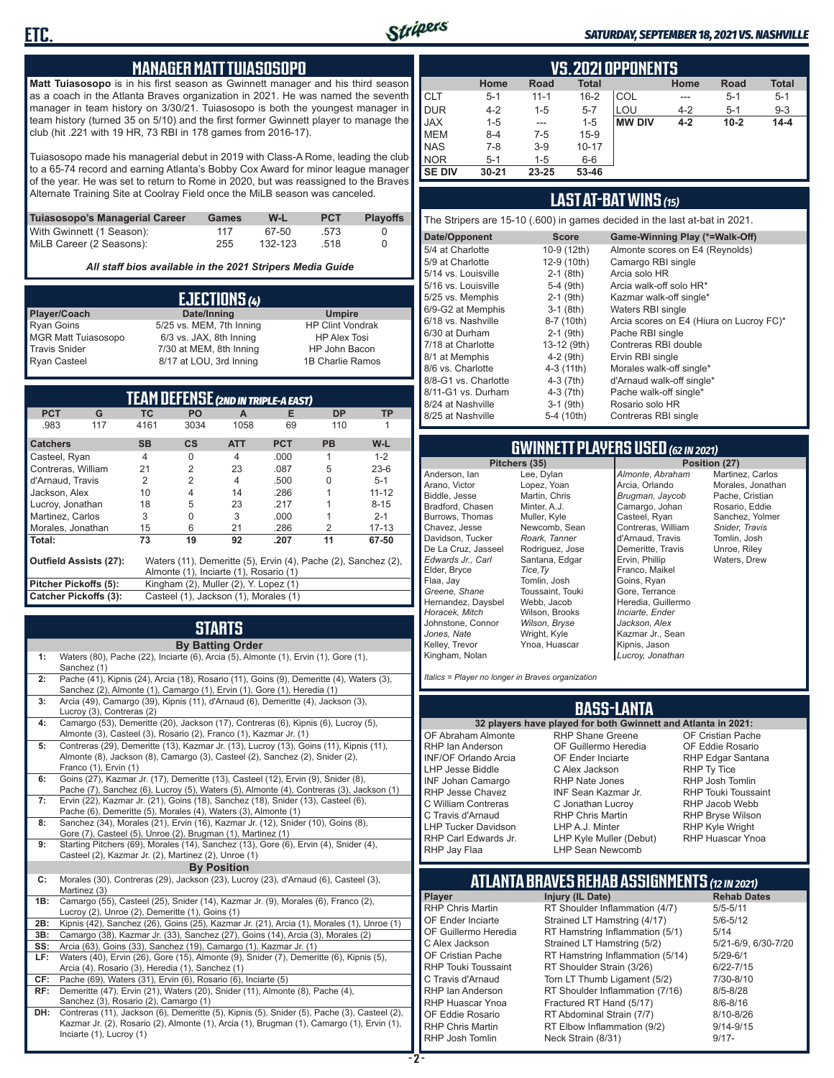

#### *SATURDAY, SEPTEMBER 18, 2021 VS. NASHVILLE*

#### **MANAGER MATT TUIASOSOPO**

**Matt Tuiasosopo** is in his first season as Gwinnett manager and his third season as a coach in the Atlanta Braves organization in 2021. He was named the seventh manager in team history on 3/30/21. Tuiasosopo is both the youngest manager in team history (turned 35 on 5/10) and the first former Gwinnett player to manage the club (hit .221 with 19 HR, 73 RBI in 178 games from 2016-17).

Tuiasosopo made his managerial debut in 2019 with Class-A Rome, leading the club to a 65-74 record and earning Atlanta's Bobby Cox Award for minor league manager of the year. He was set to return to Rome in 2020, but was reassigned to the Braves Alternate Training Site at Coolray Field once the MiLB season was canceled.

| Tuiasosopo's Managerial Career | Games | W-L     | <b>PCT</b> | <b>Plavoffs</b> |
|--------------------------------|-------|---------|------------|-----------------|
| With Gwinnett (1 Season):      | 117   | 67-50   | .573       |                 |
| MiLB Career (2 Seasons):       | 255   | 132-123 | .518       |                 |

*All staff bios available in the 2021 Stripers Media Guide*

|                            | EJECTIONS (4)            |                         |
|----------------------------|--------------------------|-------------------------|
| Player/Coach               | Date/Inning              | <b>Umpire</b>           |
| <b>Ryan Goins</b>          | 5/25 vs. MEM, 7th Inning | <b>HP Clint Vondrak</b> |
| <b>MGR Matt Tuiasosopo</b> | 6/3 vs. JAX, 8th Inning  | <b>HP Alex Tosi</b>     |
| <b>Travis Snider</b>       | 7/30 at MEM, 8th Inning  | HP John Bacon           |
| <b>Ryan Casteel</b>        | 8/17 at LOU, 3rd Inning  | 1B Charlie Ramos        |

|                               |     |                | TEAM DEFENSE (2ND IN TRIPLE-A EAST)    |                |            |                                                                |           |
|-------------------------------|-----|----------------|----------------------------------------|----------------|------------|----------------------------------------------------------------|-----------|
| <b>PCT</b>                    | G   | ТC             | PO                                     | A              | Е          | <b>DP</b>                                                      | TP        |
| .983                          | 117 | 4161           | 3034                                   | 1058           | 69         | 110                                                            |           |
| <b>Catchers</b>               |     | <b>SB</b>      | <b>CS</b>                              | <b>ATT</b>     | <b>PCT</b> | <b>PB</b>                                                      | $W-L$     |
| Casteel, Ryan                 |     | $\overline{4}$ | 0                                      | $\overline{4}$ | .000       | 1                                                              | $1 - 2$   |
| Contreras, William            |     | 21             | $\overline{2}$                         | 23             | .087       | 5                                                              | $23-6$    |
| d'Arnaud. Travis              |     | 2              | 2                                      | 4              | .500       | 0                                                              | $5 - 1$   |
| Jackson, Alex                 |     | 10             | 4                                      | 14             | .286       |                                                                | $11 - 12$ |
| Lucroy, Jonathan              |     | 18             | 5                                      | 23             | .217       |                                                                | $8 - 15$  |
| Martinez, Carlos              |     | 3              | 0                                      | 3              | .000       |                                                                | $2 - 1$   |
| Morales, Jonathan             |     | 15             | 6                                      | 21             | .286       | 2                                                              | $17 - 13$ |
| Total:                        |     | 73             | 19                                     | 92             | .207       | 11                                                             | 67-50     |
| <b>Outfield Assists (27):</b> |     |                |                                        |                |            | Waters (11), Demeritte (5), Ervin (4), Pache (2), Sanchez (2), |           |
|                               |     |                | Almonte (1), Inciarte (1), Rosario (1) |                |            |                                                                |           |
| Pitcher Pickoffs (5):         |     |                | Kingham (2), Muller (2), Y. Lopez (1)  |                |            |                                                                |           |
| <b>Catcher Pickoffs (3):</b>  |     |                | Casteel (1), Jackson (1), Morales (1)  |                |            |                                                                |           |

# **STARTS**

|     | <b>By Batting Order</b>                                                                                                                                                                                              |
|-----|----------------------------------------------------------------------------------------------------------------------------------------------------------------------------------------------------------------------|
| 1:  | Waters (80), Pache (22), Inciarte (6), Arcia (5), Almonte (1), Ervin (1), Gore (1),<br>Sanchez (1)                                                                                                                   |
| 2:  | Pache (41), Kipnis (24), Arcia (18), Rosario (11), Goins (9), Demeritte (4), Waters (3),<br>Sanchez (2), Almonte (1), Camargo (1), Ervin (1), Gore (1), Heredia (1)                                                  |
| 3:  | Arcia (49), Camargo (39), Kipnis (11), d'Arnaud (6), Demeritte (4), Jackson (3),<br>Lucroy (3), Contreras (2)                                                                                                        |
| 4:  | Camargo (53), Demeritte (20), Jackson (17), Contreras (6), Kipnis (6), Lucroy (5),<br>Almonte (3), Casteel (3), Rosario (2), Franco (1), Kazmar Jr. (1)                                                              |
| 5:  | Contreras (29), Demeritte (13), Kazmar Jr. (13), Lucroy (13), Goins (11), Kipnis (11),<br>Almonte (8), Jackson (8), Camargo (3), Casteel (2), Sanchez (2), Snider (2),<br>Franco (1), Ervin (1)                      |
| 6:  | Goins (27), Kazmar Jr. (17), Demeritte (13), Casteel (12), Ervin (9), Snider (8),<br>Pache (7), Sanchez (6), Lucroy (5), Waters (5), Almonte (4), Contreras (3), Jackson (1)                                         |
| 7:  | Ervin (22), Kazmar Jr. (21), Goins (18), Sanchez (18), Snider (13), Casteel (6),<br>Pache (6), Demeritte (5), Morales (4), Waters (3), Almonte (1)                                                                   |
| 8:  | Sanchez (34), Morales (21), Ervin (16), Kazmar Jr. (12), Snider (10), Goins (8),<br>Gore (7), Casteel (5), Unroe (2), Brugman (1), Martinez (1)                                                                      |
| 9:  | Starting Pitchers (69), Morales (14), Sanchez (13), Gore (6), Ervin (4), Snider (4),<br>Casteel (2), Kazmar Jr. (2), Martinez (2), Unroe (1)                                                                         |
|     | <b>By Position</b>                                                                                                                                                                                                   |
| C:  | Morales (30), Contreras (29), Jackson (23), Lucroy (23), d'Arnaud (6), Casteel (3),<br>Martinez (3)                                                                                                                  |
| 1B: | Camargo (55), Casteel (25), Snider (14), Kazmar Jr. (9), Morales (6), Franco (2),<br>Lucroy (2), Unroe (2), Demeritte (1), Goins (1)                                                                                 |
| 2B: | Kipnis (42), Sanchez (26), Goins (25), Kazmar Jr. (21), Arcia (1), Morales (1), Unroe (1)                                                                                                                            |
| 3B: | Camargo (38), Kazmar Jr. (33), Sanchez (27), Goins (14), Arcia (3), Morales (2)                                                                                                                                      |
| SS: | Arcia (63), Goins (33), Sanchez (19), Camargo (1), Kazmar Jr. (1)                                                                                                                                                    |
| LF: | Waters (40), Ervin (26), Gore (15), Almonte (9), Snider (7), Demeritte (6), Kipnis (5),<br>Arcia (4), Rosario (3), Heredia (1), Sanchez (1)                                                                          |
| CF: | Pache (69), Waters (31), Ervin (6), Rosario (6), Inciarte (5)                                                                                                                                                        |
| RF: | Demeritte (47), Ervin (21), Waters (20), Snider (11), Almonte (8), Pache (4),<br>Sanchez (3), Rosario (2), Camargo (1)                                                                                               |
| DH: | Contreras (11), Jackson (6), Demeritte (5), Kipnis (5), Snider (5), Pache (3), Casteel (2),<br>Kazmar Jr. (2), Rosario (2), Almonte (1), Arcia (1), Brugman (1), Camargo (1), Ervin (1),<br>Inciarte (1), Lucroy (1) |

|               | <b>VS. 2021 OPPONENTS</b> |          |              |               |         |          |              |  |  |  |  |  |  |  |
|---------------|---------------------------|----------|--------------|---------------|---------|----------|--------------|--|--|--|--|--|--|--|
|               | Home                      | Road     | <b>Total</b> |               | Home    | Road     | <b>Total</b> |  |  |  |  |  |  |  |
| <b>CLT</b>    | $5 - 1$                   | $11 - 1$ | $16 - 2$     | COL           | $---$   | $5 - 1$  | $5 - 1$      |  |  |  |  |  |  |  |
| <b>DUR</b>    | $4 - 2$                   | $1 - 5$  | $5 - 7$      | LOU           | $4 - 2$ | $5 - 1$  | $9 - 3$      |  |  |  |  |  |  |  |
| <b>JAX</b>    | $1 - 5$                   | $- - -$  | $1 - 5$      | <b>MW DIV</b> | $4 - 2$ | $10 - 2$ | $14 - 4$     |  |  |  |  |  |  |  |
| <b>MEM</b>    | $8 - 4$                   | $7-5$    | $15-9$       |               |         |          |              |  |  |  |  |  |  |  |
| <b>NAS</b>    | $7 - 8$                   | $3-9$    | $10 - 17$    |               |         |          |              |  |  |  |  |  |  |  |
| <b>NOR</b>    | $5 - 1$                   | $1 - 5$  | $6-6$        |               |         |          |              |  |  |  |  |  |  |  |
| <b>SE DIV</b> | $30 - 21$                 | 23-25    | 53-46        |               |         |          |              |  |  |  |  |  |  |  |

#### **LAST AT-BAT WINS** *(15)*

The Stripers are 15-10 (.600) in games decided in the last at-bat in 2021.

| Date/Opponent        | <b>Score</b> | Game-Winning Play (*=Walk-Off)           |
|----------------------|--------------|------------------------------------------|
| 5/4 at Charlotte     | 10-9 (12th)  | Almonte scores on E4 (Reynolds)          |
| 5/9 at Charlotte     | 12-9 (10th)  | Camargo RBI single                       |
| 5/14 vs. Louisville  | $2-1$ (8th)  | Arcia solo HR                            |
| 5/16 vs. Louisville  | $5-4$ (9th)  | Arcia walk-off solo HR*                  |
| 5/25 vs. Memphis     | $2-1$ (9th)  | Kazmar walk-off single*                  |
| 6/9-G2 at Memphis    | $3-1$ (8th)  | Waters RBI single                        |
| 6/18 vs. Nashville   | 8-7 (10th)   | Arcia scores on E4 (Hiura on Lucroy FC)* |
| 6/30 at Durham       | $2-1$ (9th)  | Pache RBI single                         |
| 7/18 at Charlotte    | 13-12 (9th)  | Contreras RBI double                     |
| 8/1 at Memphis       | $4-2$ (9th)  | Ervin RBI single                         |
| 8/6 vs. Charlotte    | 4-3 (11th)   | Morales walk-off single*                 |
| 8/8-G1 vs. Charlotte | $4-3(7th)$   | d'Arnaud walk-off single*                |
| 8/11-G1 vs. Durham   | $4-3(7th)$   | Pache walk-off single*                   |
| 8/24 at Nashville    | $3-1$ (9th)  | Rosario solo HR                          |
| 8/25 at Nashville    | 5-4 (10th)   | Contreras RBI single                     |
|                      |              |                                          |

# **GWINNETT PLAYERS USED** *(62 IN 2021)*

Anderson, Ian Arano, Victor Biddle, Jesse Bradford, Chasen Burrows, Thomas Chavez, Jesse Davidson, Tucker De La Cruz, Jasseel *Edwards Jr., Carl* Elder, Bryce Flaa, Jay *Greene, Shane*  Hernandez, Daysbel *Horacek, Mitch* Johnstone, Connor *Jones, Nate* Kelley, Trevor

Kingham, Nolan

Lee, Dylan Lopez, Yoan Martin, Chris Minter, A.J. Muller, Kyle Newcomb, Sean *Roark, Tanner* Rodriguez, Jose Santana, Edgar *Tice,Ty* Tomlin, Josh Toussaint, Touki Webb, Jacob Wilson, Brooks *Wilson, Bryse* Wright, Kyle Ynoa, Huascar *Almonte, Abraham* Arcia, Orlando *Brugman, Jaycob* Camargo, Johan Casteel, Ryan Contreras, William d'Arnaud, Travis Demeritte, Travis Ervin, Phillip Franco, Maikel Goins, Ryan Gore, Terrance Heredia, Guillermo *Inciarte, Ender Jackson, Alex* Kazmar Jr., Sean Kipnis, Jason *Lucroy, Jonathan*

**Position (27)** Martinez, Carlos Morales, Jonathan Pache, Cristian Rosario, Eddie Sanchez, Yolmer *Snider, Travis* Tomlin, Josh Unroe, Riley Waters, Drew

*Italics = Player no longer in Braves organization*

#### **BASS-LANTA**

OF Abraham Almonte RHP Ian Anderson INF/OF Orlando Arcia LHP Jesse Biddle INF Johan Camargo RHP Jesse Chavez C William Contreras C Travis d'Arnaud LHP Tucker Davidson RHP Carl Edwards Jr. RHP Jay Flaa

**32 players have played for both Gwinnett and Atlanta in 2021:** RHP Shane Greene OF Guillermo Heredia OF Ender Inciarte C Alex Jackson RHP Nate Jones INF Sean Kazmar Jr. C Jonathan Lucroy RHP Chris Martin LHP A.J. Minter LHP Kyle Muller (Debut) LHP Sean Newcomb

OF Cristian Pache OF Eddie Rosario RHP Edgar Santana RHP Ty Tice RHP Josh Tomlin RHP Touki Toussaint RHP Jacob Webb RHP Bryse Wilson RHP Kyle Wright RHP Huascar Ynoa

#### **ATLANTA BRAVES REHAB ASSIGNMENTS** *(12 IN 2021)* **Player Injury (IL Date)**

RHP Chris Martin RT Shoulder Inflammation (4/7) 5/5-5/11<br>OF Ender Inciarte Strained LT Hamstring (4/17) 5/6-5/12 OF Ender Inciarte Strained LT Hamstring (4/17)<br>OF Guillermo Heredia RT Hamstring Inflammation (5) RT Hamstring Inflammation  $(5/1)$  5/14<br>Strained LT Hamstring  $(5/2)$  5/21-6/9, 6/30-7/20 C Alex Jackson Strained LT Hamstring (5/2) 5/21-6/9<br>CF Cristian Pache RT Hamstring Inflammation (5/14) 5/29-6/1 OF Cristian Pache RT Hamstring Inflammation (5/14) 5/29-6/1<br>RHP Touki Toussaint RT Shoulder Strain (3/26) 6/22-7/15 RHP Touki Toussaint RT Shoulder Strain (3/26) 6/22-7/15 Torn LT Thumb Ligament (5/2) 7/30-8/10 RHP Ian Anderson RT Shoulder Inflammation (7/16) 8/5-8/28<br>RHP Huascar Ynoa Fractured RT Hand (5/17) 8/6-8/16 RHP Huascar Ynoa Fractured RT Hand (5/17) 8/6-8/16<br>OF Eddie Rosario RT Abdominal Strain (7/7) 8/10-8/26 OF Eddie Rosario RT Abdominal Strain (7/7)<br>RHP Chris Martin RT Elbow Inflammation (9 RHP Chris Martin RT Elbow Inflammation (9/2) 9/14-9/15 Neck Strain (8/31)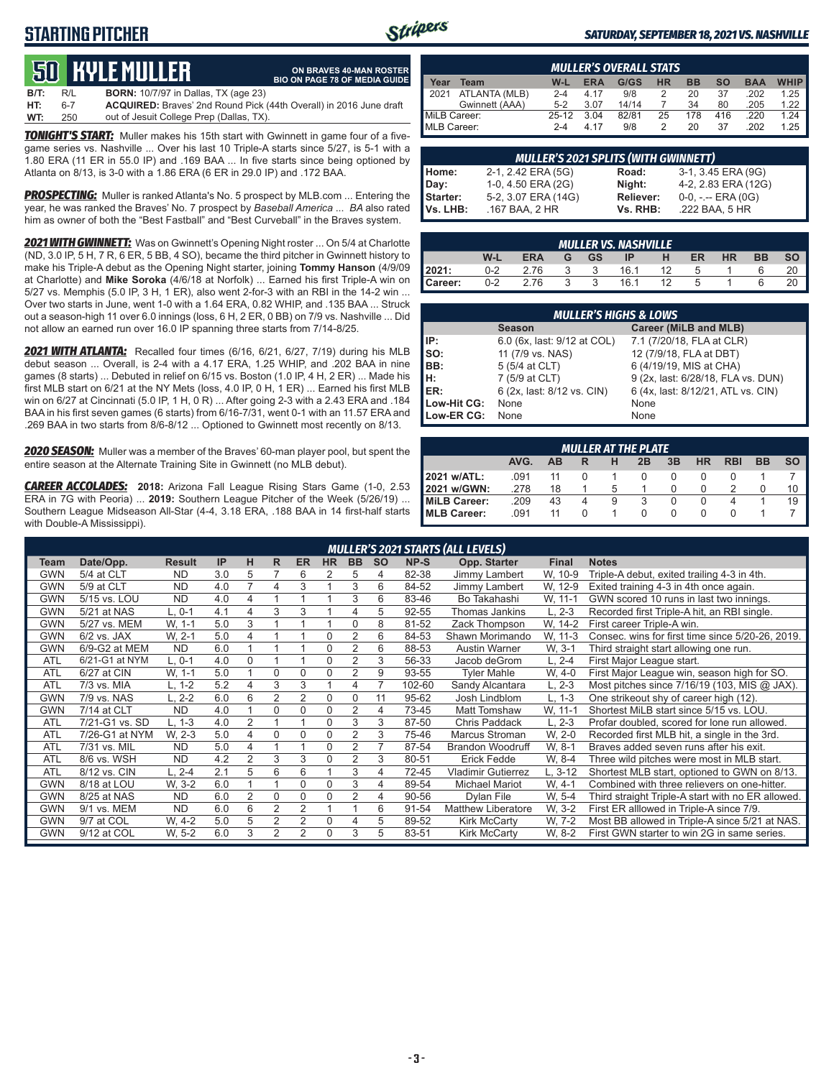### **STARTING PITCHER**



**ON BRAVES 40-MAN ROSTER**

#### *SATURDAY, SEPTEMBER 18, 2021 VS. NASHVILLE*

# **50****KYLE MULLER**

**B/T:** R/L **BORN:** 10/7/97 in Dallas, TX (age 23) **HT:** 6-7 **ACQUIRED:** Braves' 2nd Round Pick (44th Overall) in 2016 June draft out of Jesuit College Prep (Dallas, TX) **BIO ON PAGE 78 OF MEDIA GUIDE**

*TONIGHT'S START:* Muller makes his 15th start with Gwinnett in game four of a fivegame series vs. Nashville ... Over his last 10 Triple-A starts since 5/27, is 5-1 with a 1.80 ERA (11 ER in 55.0 IP) and .169 BAA ... In five starts since being optioned by Atlanta on 8/13, is 3-0 with a 1.86 ERA (6 ER in 29.0 IP) and .172 BAA.

*PROSPECTING:* Muller is ranked Atlanta's No. 5 prospect by MLB.com ... Entering the year, he was ranked the Braves' No. 7 prospect by *Baseball America* ... *BA* also rated him as owner of both the "Best Fastball" and "Best Curveball" in the Braves system.

*2021 WITH GWINNETT:* Was on Gwinnett's Opening Night roster ... On 5/4 at Charlotte (ND, 3.0 IP, 5 H, 7 R, 6 ER, 5 BB, 4 SO), became the third pitcher in Gwinnett history to make his Triple-A debut as the Opening Night starter, joining **Tommy Hanson** (4/9/09 at Charlotte) and **Mike Soroka** (4/6/18 at Norfolk) ... Earned his first Triple-A win on 5/27 vs. Memphis (5.0 IP, 3 H, 1 ER), also went 2-for-3 with an RBI in the 14-2 win ... Over two starts in June, went 1-0 with a 1.64 ERA, 0.82 WHIP, and .135 BAA ... Struck out a season-high 11 over 6.0 innings (loss, 6 H, 2 ER, 0 BB) on 7/9 vs. Nashville ... Did not allow an earned run over 16.0 IP spanning three starts from 7/14-8/25.

*2021 WITH ATLANTA:* Recalled four times (6/16, 6/21, 6/27, 7/19) during his MLB debut season ... Overall, is 2-4 with a 4.17 ERA, 1.25 WHIP, and .202 BAA in nine games (8 starts) ... Debuted in relief on 6/15 vs. Boston (1.0 IP, 4 H, 2 ER) ... Made his first MLB start on 6/21 at the NY Mets (loss, 4.0 IP, 0 H, 1 ER) ... Earned his first MLB win on 6/27 at Cincinnati (5.0 IP, 1 H, 0 R) ... After going 2-3 with a 2.43 ERA and .184 BAA in his first seven games (6 starts) from 6/16-7/31, went 0-1 with an 11.57 ERA and .269 BAA in two starts from 8/6-8/12 ... Optioned to Gwinnett most recently on 8/13.

*2020 SEASON:* Muller was a member of the Braves' 60-man player pool, but spent the entire season at the Alternate Training Site in Gwinnett (no MLB debut).

*CAREER ACCOLADES:* **2018:** Arizona Fall League Rising Stars Game (1-0, 2.53 ERA in 7G with Peoria) ... **2019:** Southern League Pitcher of the Week (5/26/19) ... Southern League Midseason All-Star (4-4, 3.18 ERA, .188 BAA in 14 first-half starts with Double-A Mississippi).

|              | <b>MULLER'S OVERALL STATS</b> |         |            |       |           |           |           |            |             |  |  |  |  |  |
|--------------|-------------------------------|---------|------------|-------|-----------|-----------|-----------|------------|-------------|--|--|--|--|--|
| Year         | Team                          | $W-L$   | <b>ERA</b> | G/GS  | <b>HR</b> | <b>BB</b> | <b>SO</b> | <b>BAA</b> | <b>WHIP</b> |  |  |  |  |  |
| 12021        | ATLANTA (MLB)                 | $2 - 4$ | 4.17       | 9/8   |           | 20        | 37        | .202       | 1.25        |  |  |  |  |  |
|              | Gwinnett (AAA)                | $5-2$   | 3.07       | 14/14 |           | 34        | 80        | .205       | 1.22        |  |  |  |  |  |
| MiLB Career: |                               | $25-12$ | 3.04       | 82/81 | 25        | 178       | 416       | 220        | 1 24        |  |  |  |  |  |
| MLB Career:  |                               | $2 - 4$ | 4 17       | 9/8   |           | 20        | 37        | 202        | 1 25        |  |  |  |  |  |

|                 | <b>MULLER'S 2021 SPLITS (WITH GWINNETT)</b> |           |                       |
|-----------------|---------------------------------------------|-----------|-----------------------|
| Home:           | 2-1, 2.42 ERA (5G)                          | Road:     | 3-1, 3.45 ERA (9G)    |
| Day:            | 1-0, 4.50 ERA (2G)                          | Night:    | 4-2, 2.83 ERA (12G)   |
| <b>Starter:</b> | 5-2, 3.07 ERA (14G)                         | Reliever: | $0-0, - -$ ERA $(0G)$ |
| Vs. LHB:        | .167 BAA, 2 HR                              | Vs. RHB:  | .222 BAA, 5 HR        |

|                | <b>MULLER VS. NASHVILLE</b> |            |   |           |      |    |    |           |           |  |  |  |  |  |
|----------------|-----------------------------|------------|---|-----------|------|----|----|-----------|-----------|--|--|--|--|--|
|                | W-L                         | <b>ERA</b> | G | <b>GS</b> | ΙP   | н  | ER | <b>HR</b> | <b>BB</b> |  |  |  |  |  |
| 2021:          | $0 - 2$                     | 2.76       |   |           | 16.1 | 12 | 5  |           |           |  |  |  |  |  |
| <b>Career:</b> | $0 - 2$                     | 2.76       |   |           | 16.1 | 12 | 5  |           |           |  |  |  |  |  |

| <b>MULLER'S HIGHS &amp; LOWS</b> |                             |                                    |  |  |  |  |  |  |  |  |  |
|----------------------------------|-----------------------------|------------------------------------|--|--|--|--|--|--|--|--|--|
|                                  | <b>Season</b>               | Career (MiLB and MLB)              |  |  |  |  |  |  |  |  |  |
| l IP:                            | 6.0 (6x, last: 9/12 at COL) | 7.1 (7/20/18, FLA at CLR)          |  |  |  |  |  |  |  |  |  |
| so:                              | 11 (7/9 vs. NAS)            | 12 (7/9/18, FLA at DBT)            |  |  |  |  |  |  |  |  |  |
| BB:                              | 5 (5/4 at CLT)              | 6 (4/19/19, MIS at CHA)            |  |  |  |  |  |  |  |  |  |
| IH:                              | 7 (5/9 at CLT)              | 9 (2x, last: 6/28/18, FLA vs. DUN) |  |  |  |  |  |  |  |  |  |
| IER:                             | 6 (2x, last: 8/12 vs. CIN)  | 6 (4x, last: 8/12/21, ATL vs. CIN) |  |  |  |  |  |  |  |  |  |
| Low-Hit CG:                      | None                        | None                               |  |  |  |  |  |  |  |  |  |
| Low-ER CG:                       | None                        | None                               |  |  |  |  |  |  |  |  |  |

| <b>MULLER AT THE PLATE</b> |                                                                                |    |   |   |  |  |  |  |  |    |  |  |  |  |
|----------------------------|--------------------------------------------------------------------------------|----|---|---|--|--|--|--|--|----|--|--|--|--|
|                            | <b>SO</b><br>AVG.<br>3B<br>HR<br><b>RBI</b><br><b>BB</b><br>AB<br>2B<br>н<br>R |    |   |   |  |  |  |  |  |    |  |  |  |  |
| 2021 w/ATL:                | .091                                                                           | 11 |   |   |  |  |  |  |  |    |  |  |  |  |
| 2021 w/GWN:                | .278                                                                           | 18 |   | 5 |  |  |  |  |  | 10 |  |  |  |  |
| MiLB Career:               | .209                                                                           | 43 | 4 | 9 |  |  |  |  |  | 19 |  |  |  |  |
| MLB Career:                | .091                                                                           | 11 |   |   |  |  |  |  |  |    |  |  |  |  |

|            |                |               |     |                |                | <b>MULLER'S 2021 STARTS (ALL LEVELS)</b> |                |                |           |        |                           |              |                                                   |  |  |  |  |  |
|------------|----------------|---------------|-----|----------------|----------------|------------------------------------------|----------------|----------------|-----------|--------|---------------------------|--------------|---------------------------------------------------|--|--|--|--|--|
| Team       | Date/Opp.      | <b>Result</b> | IP  | н              | R              | <b>ER</b>                                | <b>HR</b>      | <b>BB</b>      | <b>SO</b> | NP-S   | Opp. Starter              | <b>Final</b> | <b>Notes</b>                                      |  |  |  |  |  |
| <b>GWN</b> | 5/4 at CLT     | <b>ND</b>     | 3.0 | 5              |                | 6                                        | 2              | 5              | 4         | 82-38  | Jimmy Lambert             | W, 10-9      | Triple-A debut, exited trailing 4-3 in 4th.       |  |  |  |  |  |
| <b>GWN</b> | 5/9 at CLT     | <b>ND</b>     | 4.0 |                | 4              | 3                                        |                | 3              | 6         | 84-52  | Jimmy Lambert             | W, 12-9      | Exited training 4-3 in 4th once again.            |  |  |  |  |  |
| <b>GWN</b> | 5/15 vs. LOU   | <b>ND</b>     | 4.0 | 4              |                |                                          |                | 3              | 6         | 83-46  | Bo Takahashi              | W. 11-1      | GWN scored 10 runs in last two innings.           |  |  |  |  |  |
| <b>GWN</b> | 5/21 at NAS    | $L.0-1$       | 4.1 | 4              | 3              | 3                                        |                | 4              | 5         | 92-55  | <b>Thomas Jankins</b>     | $L, 2-3$     | Recorded first Triple-A hit, an RBI single.       |  |  |  |  |  |
| <b>GWN</b> | 5/27 vs. MEM   | W. 1-1        | 5.0 | 3              |                |                                          |                | $\Omega$       | 8         | 81-52  | Zack Thompson             | W. 14-2      | First career Triple-A win.                        |  |  |  |  |  |
| <b>GWN</b> | $6/2$ vs. JAX  | W. 2-1        | 5.0 | 4              |                |                                          | $\Omega$       | $\overline{c}$ | 6         | 84-53  | Shawn Morimando           | W, 11-3      | Consec. wins for first time since 5/20-26, 2019.  |  |  |  |  |  |
| <b>GWN</b> | 6/9-G2 at MEM  | <b>ND</b>     | 6.0 |                |                |                                          | $\mathbf 0$    | $\overline{c}$ | 6         | 88-53  | Austin Warner             | W. 3-1       | Third straight start allowing one run.            |  |  |  |  |  |
| <b>ATL</b> | 6/21-G1 at NYM | L. 0-1        | 4.0 | $\Omega$       |                |                                          | $\Omega$       | $\overline{2}$ | 3         | 56-33  | Jacob deGrom              | L, 2-4       | First Major League start.                         |  |  |  |  |  |
| <b>ATL</b> | 6/27 at CIN    | W, 1-1        | 5.0 |                | $\Omega$       | $\Omega$                                 | $\Omega$       | $\overline{2}$ | 9         | 93-55  | <b>Tyler Mahle</b>        | W, 4-0       | First Major League win, season high for SO.       |  |  |  |  |  |
| <b>ATL</b> | 7/3 vs. MIA    | L, 1-2        | 5.2 | 4              | 3              | 3                                        |                | 4              | 7         | 102-60 | Sandy Alcantara           | L, 2-3       | Most pitches since 7/16/19 (103, MIS @ JAX).      |  |  |  |  |  |
| <b>GWN</b> | 7/9 vs. NAS    | $L, 2-2$      | 6.0 | 6              | $\overline{2}$ | $\overline{2}$                           | $\Omega$       | $\Omega$       | 11        | 95-62  | Josh Lindblom             | L. 1-3       | One strikeout shy of career high (12).            |  |  |  |  |  |
| <b>GWN</b> | 7/14 at CLT    | <b>ND</b>     | 4.0 |                | $\Omega$       | $\Omega$                                 | $\Omega$       | $\overline{2}$ | 4         | 73-45  | Matt Tomshaw              | W, 11-1      | Shortest MiLB start since 5/15 vs. LOU.           |  |  |  |  |  |
| <b>ATL</b> | 7/21-G1 vs. SD | L. 1-3        | 4.0 | 2              |                |                                          | $\Omega$       | 3              | 3         | 87-50  | Chris Paddack             | $L, 2-3$     | Profar doubled, scored for lone run allowed.      |  |  |  |  |  |
| <b>ATL</b> | 7/26-G1 at NYM | W. 2-3        | 5.0 | 4              | $\Omega$       | $\Omega$                                 | $\Omega$       | $\overline{c}$ | 3         | 75-46  | Marcus Stroman            | W. 2-0       | Recorded first MLB hit, a single in the 3rd.      |  |  |  |  |  |
| <b>ATL</b> | 7/31 vs. MIL   | <b>ND</b>     | 5.0 | 4              |                |                                          | 0              | $\overline{2}$ |           | 87-54  | <b>Brandon Woodruff</b>   | W. 8-1       | Braves added seven runs after his exit.           |  |  |  |  |  |
| <b>ATL</b> | 8/6 vs. WSH    | <b>ND</b>     | 4.2 | $\overline{2}$ | 3              | 3                                        | $\Omega$       | $\overline{c}$ | 3         | 80-51  | <b>Erick Fedde</b>        | W. 8-4       | Three wild pitches were most in MLB start.        |  |  |  |  |  |
| <b>ATL</b> | 8/12 vs. CIN   | $L, 2-4$      | 2.1 | 5              | 6              | 6                                        |                | 3              | 4         | 72-45  | <b>Vladimir Gutierrez</b> | L, 3-12      | Shortest MLB start, optioned to GWN on 8/13.      |  |  |  |  |  |
| <b>GWN</b> | 8/18 at LOU    | W. 3-2        | 6.0 |                |                | $\Omega$                                 | 0              | 3              | 4         | 89-54  | Michael Mariot            | W. 4-1       | Combined with three relievers on one-hitter.      |  |  |  |  |  |
| <b>GWN</b> | 8/25 at NAS    | <b>ND</b>     | 6.0 | $\overline{2}$ | 0              | $\Omega$                                 | 0              | 2              | 4         | 90-56  | Dylan File                | W. 5-4       | Third straight Triple-A start with no ER allowed. |  |  |  |  |  |
| <b>GWN</b> | 9/1 vs. MEM    | <b>ND</b>     | 6.0 | 6              | 2              | 2                                        | $\overline{A}$ |                | 6         | 91-54  | <b>Matthew Liberatore</b> | W. 3-2       | First ER alllowed in Triple-A since 7/9.          |  |  |  |  |  |
| <b>GWN</b> | 9/7 at COL     | W. 4-2        | 5.0 | 5              | $\overline{2}$ | $\overline{2}$                           | $\Omega$       | 4              | 5         | 89-52  | <b>Kirk McCarty</b>       | W. 7-2       | Most BB allowed in Triple-A since 5/21 at NAS.    |  |  |  |  |  |
| <b>GWN</b> | 9/12 at COL    | W, 5-2        | 6.0 | 3              | $\overline{2}$ | $\overline{2}$                           | $\Omega$       | 3              | 5         | 83-51  | <b>Kirk McCarty</b>       | W. 8-2       | First GWN starter to win 2G in same series.       |  |  |  |  |  |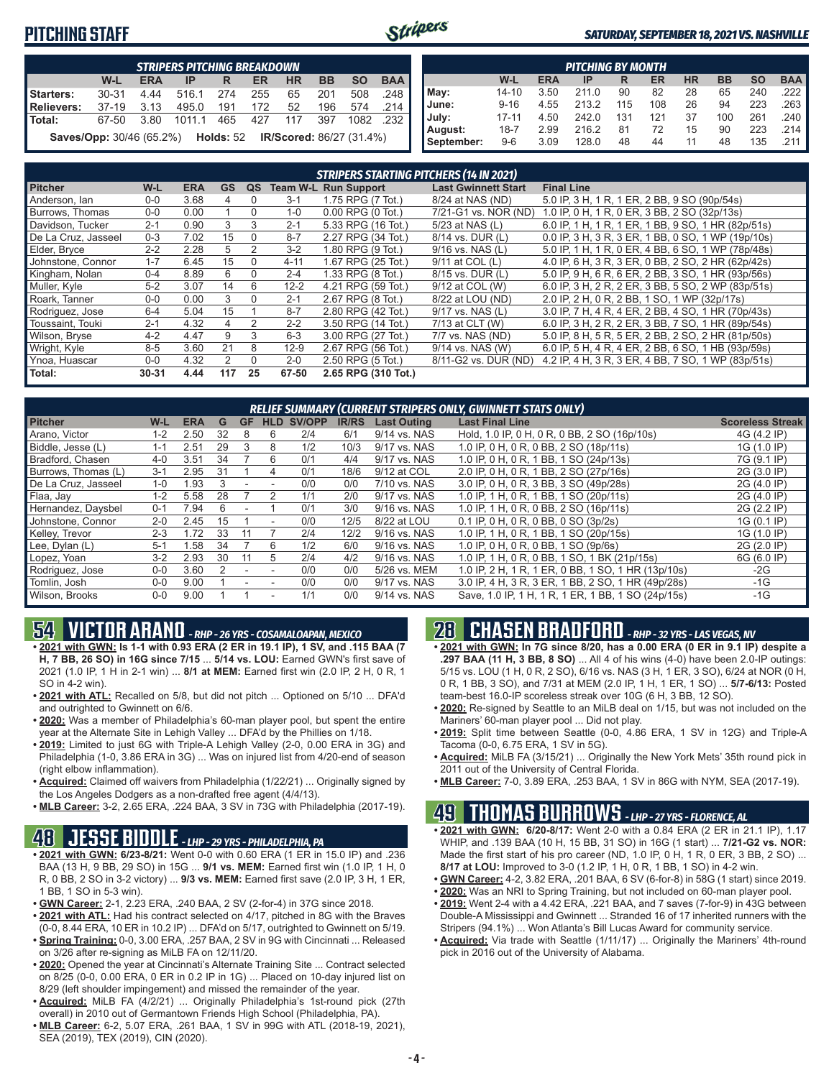### **PITCHING STAFF**



#### *SATURDAY, SEPTEMBER 18, 2021 VS. NASHVILLE*

|                                                                            | <b>STRIPERS PITCHING BREAKDOWN</b> |            |        |     |     |           |           |           |            |  |  |  |  |  |
|----------------------------------------------------------------------------|------------------------------------|------------|--------|-----|-----|-----------|-----------|-----------|------------|--|--|--|--|--|
|                                                                            | W-L                                | <b>ERA</b> | IP     | R   | ER  | <b>HR</b> | <b>BB</b> | <b>SO</b> | <b>BAA</b> |  |  |  |  |  |
| Starters:                                                                  | $30 - 31$                          | 4.44       | 516.1  | 274 | 255 | 65        | 201       | 508       | 248        |  |  |  |  |  |
| Relievers:                                                                 | $37-19$                            | 3.13       | 495.0  | 191 | 172 | 52        | 196       | 574       | 214        |  |  |  |  |  |
| l Total:                                                                   | 67-50                              | 3.80       | 1011 1 | 465 | 427 | 117       | 397       | 1082      | 232        |  |  |  |  |  |
| <b>Saves/Opp:</b> 30/46 (65.2%)  Holds: 52 <b>IR/Scored:</b> 86/27 (31.4%) |                                    |            |        |     |     |           |           |           |            |  |  |  |  |  |

|            | <b>PITCHING BY MONTH</b>                                                                |      |       |     |     |    |     |     |                       |  |  |  |  |  |
|------------|-----------------------------------------------------------------------------------------|------|-------|-----|-----|----|-----|-----|-----------------------|--|--|--|--|--|
|            | <b>BAA</b><br><b>SO</b><br><b>BB</b><br><b>ERA</b><br><b>HR</b><br>W-L<br>ER<br>IP<br>R |      |       |     |     |    |     |     |                       |  |  |  |  |  |
| May:       | $14 - 10$                                                                               | 3.50 | 211.0 | 90  | 82  | 28 | 65  | 240 | $.222$ $\blacksquare$ |  |  |  |  |  |
| June:      | $9 - 16$                                                                                | 4.55 | 213.2 | 115 | 108 | 26 | 94  | 223 | $.263$ $\blacksquare$ |  |  |  |  |  |
| July:      | $17 - 11$                                                                               | 4.50 | 242.0 | 131 | 121 | 37 | 100 | 261 | .240                  |  |  |  |  |  |
| August:    | $18 - 7$                                                                                | 2.99 | 216.2 | 81  | 72  | 15 | 90  | 223 | .214 I                |  |  |  |  |  |
| September: | $9-6$                                                                                   | 3.09 | 128.0 | 48  | 44  | 11 | 48  | 135 |                       |  |  |  |  |  |

|                     |           |            |           |          |          | STRIPERS STARTING PITCHERS (14 IN 2021) |                            |                                                    |
|---------------------|-----------|------------|-----------|----------|----------|-----------------------------------------|----------------------------|----------------------------------------------------|
| <b>Pitcher</b>      | $W-L$     | <b>ERA</b> | <b>GS</b> | QS       |          | <b>Team W-L Run Support</b>             | <b>Last Gwinnett Start</b> | <b>Final Line</b>                                  |
| Anderson, lan       | $0 - 0$   | 3.68       | 4         | 0        | $3 - 1$  | 1.75 RPG (7 Tot.)                       | 8/24 at NAS (ND)           | 5.0 IP, 3 H, 1 R, 1 ER, 2 BB, 9 SO (90p/54s)       |
| Burrows, Thomas     | $0 - 0$   | 0.00       |           | $\Omega$ | $1 - 0$  | $0.00$ RPG $(0$ Tot.)                   | 7/21-G1 vs. NOR (ND)       | 1.0 IP, 0 H, 1 R, 0 ER, 3 BB, 2 SO (32p/13s)       |
| Davidson, Tucker    | $2 - 1$   | 0.90       | 3         | 3        | $2 - 1$  | 5.33 RPG (16 Tot.)                      | 5/23 at NAS (L)            | 6.0 IP, 1 H, 1 R, 1 ER, 1 BB, 9 SO, 1 HR (82p/51s) |
| De La Cruz. Jasseel | $0 - 3$   | 7.02       | 15        | $\Omega$ | $8 - 7$  | 2.27 RPG (34 Tot.)                      | 8/14 vs. DUR (L)           | 0.0 IP, 3 H, 3 R, 3 ER, 1 BB, 0 SO, 1 WP (19p/10s) |
| Elder, Bryce        | $2 - 2$   | 2.28       | 5         | 2        | $3 - 2$  | 1.80 RPG (9 Tot.)                       | 9/16 vs. NAS (L)           | 5.0 IP, 1 H, 1 R, 0 ER, 4 BB, 6 SO, 1 WP (78p/48s) |
| Johnstone, Connor   | $1 - 7$   | 6.45       | 15        | $\Omega$ | $4 - 11$ | 1.67 RPG (25 Tot.)                      | 9/11 at COL (L)            | 4.0 IP, 6 H, 3 R, 3 ER, 0 BB, 2 SO, 2 HR (62p/42s) |
| Kingham, Nolan      | $0 - 4$   | 8.89       | 6         | $\Omega$ | $2 - 4$  | 1.33 RPG (8 Tot.)                       | 8/15 vs. DUR (L)           | 5.0 IP, 9 H, 6 R, 6 ER, 2 BB, 3 SO, 1 HR (93p/56s) |
| Muller, Kyle        | $5 - 2$   | 3.07       | 14        | 6        | $12 - 2$ | 4.21 RPG (59 Tot.)                      | 9/12 at COL (W)            | 6.0 IP, 3 H, 2 R, 2 ER, 3 BB, 5 SO, 2 WP (83p/51s) |
| Roark, Tanner       | $0-0$     | 0.00       | 3         | $\Omega$ | $2 - 1$  | 2.67 RPG (8 Tot.)                       | 8/22 at LOU (ND)           | 2.0 IP, 2 H, 0 R, 2 BB, 1 SO, 1 WP (32p/17s)       |
| Rodriguez, Jose     | $6 - 4$   | 5.04       | 15        |          | $8 - 7$  | 2.80 RPG (42 Tot.)                      | 9/17 vs. NAS (L)           | 3.0 IP, 7 H, 4 R, 4 ER, 2 BB, 4 SO, 1 HR (70p/43s) |
| Toussaint. Touki    | $2 - 1$   | 4.32       | $\Delta$  | 2        | $2 - 2$  | 3.50 RPG (14 Tot.)                      | 7/13 at CLT (W)            | 6.0 IP, 3 H, 2 R, 2 ER, 3 BB, 7 SO, 1 HR (89p/54s) |
| Wilson, Bryse       | $4 - 2$   | 4.47       | 9         | 3        | $6 - 3$  | 3.00 RPG (27 Tot.)                      | 7/7 vs. NAS (ND)           | 5.0 IP, 8 H, 5 R, 5 ER, 2 BB, 2 SO, 2 HR (81p/50s) |
| Wright, Kyle        | $8 - 5$   | 3.60       | 21        | 8        | $12-9$   | 2.67 RPG (56 Tot.)                      | 9/14 vs. NAS (W)           | 6.0 IP, 5 H, 4 R, 4 ER, 2 BB, 6 SO, 1 HB (93p/59s) |
| Ynoa, Huascar       | $0-0$     | 4.32       | 2         | 0        | $2 - 0$  | 2.50 RPG (5 Tot.)                       | 8/11-G2 vs. DUR (ND)       | 4.2 IP, 4 H, 3 R, 3 ER, 4 BB, 7 SO, 1 WP (83p/51s) |
| Total:              | $30 - 31$ | 4.44       | 117       | 25       | 67-50    | 2.65 RPG (310 Tot.)                     |                            |                                                    |

|                     |         |            |    |           |                          |        |              |                    | RELIEF SUMMARY (CURRENT STRIPERS ONLY, GWINNETT STATS ONLY) |                         |
|---------------------|---------|------------|----|-----------|--------------------------|--------|--------------|--------------------|-------------------------------------------------------------|-------------------------|
| <b>Pitcher</b>      | W-L     | <b>ERA</b> | G  | <b>GF</b> | <b>HLD</b>               | SV/OPP | <b>IR/RS</b> | <b>Last Outing</b> | <b>Last Final Line</b>                                      | <b>Scoreless Streak</b> |
| Arano. Victor       | $1 - 2$ | 2.50       | 32 | 8         | 6                        | 2/4    | 6/1          | 9/14 vs. NAS       | Hold, 1.0 IP, 0 H, 0 R, 0 BB, 2 SO (16p/10s)                | 4G (4.2 IP)             |
| Biddle, Jesse (L)   | $1 - 1$ | 2.51       | 29 | 3         | 8                        | 1/2    | 10/3         | 9/17 vs. NAS       | 1.0 IP, 0 H, 0 R, 0 BB, 2 SO (18p/11s)                      | 1G (1.0 IP)             |
| Bradford, Chasen    | $4 - 0$ | 3.51       | 34 |           | 6                        | 0/1    | 4/4          | 9/17 vs. NAS       | 1.0 IP, 0 H, 0 R, 1 BB, 1 SO (24p/13s)                      | 7G (9.1 IP)             |
| Burrows, Thomas (L) | $3 - 1$ | 2.95       | 31 |           | 4                        | 0/1    | 18/6         | 9/12 at COL        | 2.0 IP, 0 H, 0 R, 1 BB, 2 SO (27p/16s)                      | 2G (3.0 IP)             |
| De La Cruz. Jasseel | $1 - 0$ | 1.93       | 3  |           |                          | 0/0    | 0/0          | 7/10 vs. NAS       | 3.0 IP, 0 H, 0 R, 3 BB, 3 SO (49p/28s)                      | 2G (4.0 IP)             |
| Flaa, Jay           | $1 - 2$ | 5.58       | 28 |           |                          | 1/1    | 2/0          | 9/17 vs. NAS       | 1.0 IP, 1 H, 0 R, 1 BB, 1 SO (20p/11s)                      | 2G (4.0 IP)             |
| Hernandez, Davsbel  | $0 - 1$ | 7.94       | ĥ  |           |                          | 0/1    | 3/0          | 9/16 vs. NAS       | 1.0 IP. 1 H. 0 R. 0 BB. 2 SO (16p/11s)                      | 2G (2.2 IP)             |
| Johnstone, Connor   | $2 - 0$ | 2.45       | 15 |           | $\overline{\phantom{a}}$ | 0/0    | 12/5         | 8/22 at LOU        | $0.1$ IP, 0 H, 0 R, 0 BB, 0 SO (3p/2s)                      | 1G (0.1 IP)             |
| Kelley, Trevor      | $2 - 3$ | 172        | 33 |           |                          | 2/4    | 12/2         | 9/16 vs. NAS       | 1.0 IP, 1 H, 0 R, 1 BB, 1 SO (20p/15s)                      | 1G (1.0 IP)             |
| Lee, Dylan (L)      | $5-1$   | .58        | 34 |           | 6                        | 1/2    | 6/0          | 9/16 vs. NAS       | 1.0 IP, 0 H, 0 R, 0 BB, 1 SO (9p/6s)                        | 2G (2.0 IP)             |
| Lopez, Yoan         | $3-2$   | 2.93       | 30 | 11        | 5                        | 2/4    | 4/2          | 9/16 vs. NAS       | 1.0 IP, 1 H, 0 R, 0 BB, 1 SO, 1 BK (21p/15s)                | 6G (6.0 IP)             |
| Rodriguez, Jose     | $0 - 0$ | 3.60       |    |           |                          | 0/0    | 0/0          | 5/26 vs. MEM       | 1.0 IP. 2 H. 1 R. 1 ER. 0 BB. 1 SO. 1 HR (13p/10s)          | $-2G$                   |
| Tomlin, Josh        | $0 - 0$ | 9.00       |    |           |                          | 0/0    | 0/0          | 9/17 vs. NAS       | 3.0 IP, 4 H, 3 R, 3 ER, 1 BB, 2 SO, 1 HR (49p/28s)          | -1G                     |
| Wilson, Brooks      | $0-0$   | 9.00       |    |           |                          | 1/1    | 0/0          | 9/14 vs. NAS       | Save, 1.0 IP, 1 H, 1 R, 1 ER, 1 BB, 1 SO (24p/15s)          | $-1G$                   |

## **54 VICTOR ARANO** *- RHP - 26 YRS - COSAMALOAPAN, MEXICO*

**• 2021 with GWN: Is 1-1 with 0.93 ERA (2 ER in 19.1 IP), 1 SV, and .115 BAA (7 H, 7 BB, 26 SO) in 16G since 7/15** ... **5/14 vs. LOU:** Earned GWN's first save of 2021 (1.0 IP, 1 H in 2-1 win) ... **8/1 at MEM:** Earned first win (2.0 IP, 2 H, 0 R, 1 SO in 4-2 win).

- **• 2021 with ATL:** Recalled on 5/8, but did not pitch ... Optioned on 5/10 ... DFA'd and outrighted to Gwinnett on 6/6.
- **• 2020:** Was a member of Philadelphia's 60-man player pool, but spent the entire year at the Alternate Site in Lehigh Valley ... DFA'd by the Phillies on 1/18.
- **• 2019:** Limited to just 6G with Triple-A Lehigh Valley (2-0, 0.00 ERA in 3G) and Philadelphia (1-0, 3.86 ERA in 3G) ... Was on injured list from 4/20-end of season (right elbow inflammation).
- **• Acquired:** Claimed off waivers from Philadelphia (1/22/21) ... Originally signed by the Los Angeles Dodgers as a non-drafted free agent (4/4/13).
- **• MLB Career:** 3-2, 2.65 ERA, .224 BAA, 3 SV in 73G with Philadelphia (2017-19).

### **48 JESSE BIDDLE** *- LHP - 29 YRS - PHILADELPHIA, PA*

- **• 2021 with GWN: 6/23-8/21:** Went 0-0 with 0.60 ERA (1 ER in 15.0 IP) and .236 BAA (13 H, 9 BB, 29 SO) in 15G ... **9/1 vs. MEM:** Earned first win (1.0 IP, 1 H, 0 R, 0 BB, 2 SO in 3-2 victory) ... **9/3 vs. MEM:** Earned first save (2.0 IP, 3 H, 1 ER, 1 BB, 1 SO in 5-3 win).
- **• GWN Career:** 2-1, 2.23 ERA, .240 BAA, 2 SV (2-for-4) in 37G since 2018.
- **• 2021 with ATL:** Had his contract selected on 4/17, pitched in 8G with the Braves (0-0, 8.44 ERA, 10 ER in 10.2 IP) ... DFA'd on 5/17, outrighted to Gwinnett on 5/19.
- **• Spring Training:** 0-0, 3.00 ERA, .257 BAA, 2 SV in 9G with Cincinnati ... Released on 3/26 after re-signing as MiLB FA on 12/11/20.
- **• 2020:** Opened the year at Cincinnati's Alternate Training Site ... Contract selected on 8/25 (0-0, 0.00 ERA, 0 ER in 0.2 IP in 1G) ... Placed on 10-day injured list on 8/29 (left shoulder impingement) and missed the remainder of the year.
- **• Acquired:** MiLB FA (4/2/21) ... Originally Philadelphia's 1st-round pick (27th overall) in 2010 out of Germantown Friends High School (Philadelphia, PA).
- **• MLB Career:** 6-2, 5.07 ERA, .261 BAA, 1 SV in 99G with ATL (2018-19, 2021), SEA (2019), TEX (2019), CIN (2020).

### **28 CHASEN BRADFORD** *- RHP - 32 YRS - LAS VEGAS, NV*

- **• 2021 with GWN: In 7G since 8/20, has a 0.00 ERA (0 ER in 9.1 IP) despite a .297 BAA (11 H, 3 BB, 8 SO)** ... All 4 of his wins (4-0) have been 2.0-IP outings: 5/15 vs. LOU (1 H, 0 R, 2 SO), 6/16 vs. NAS (3 H, 1 ER, 3 SO), 6/24 at NOR (0 H, 0 R, 1 BB, 3 SO), and 7/31 at MEM (2.0 IP, 1 H, 1 ER, 1 SO) ... **5/7-6/13:** Posted team-best 16.0-IP scoreless streak over 10G (6 H, 3 BB, 12 SO).
- **• 2020:** Re-signed by Seattle to an MiLB deal on 1/15, but was not included on the Mariners' 60-man player pool ... Did not play.
- **• 2019:** Split time between Seattle (0-0, 4.86 ERA, 1 SV in 12G) and Triple-A Tacoma (0-0, 6.75 ERA, 1 SV in 5G).
- **• Acquired:** MiLB FA (3/15/21) ... Originally the New York Mets' 35th round pick in 2011 out of the University of Central Florida.
- **• MLB Career:** 7-0, 3.89 ERA, .253 BAA, 1 SV in 86G with NYM, SEA (2017-19).

# **49 THOMAS BURROWS** *- LHP - 27 YRS - FLORENCE, AL*

- **• 2021 with GWN: 6/20-8/17:** Went 2-0 with a 0.84 ERA (2 ER in 21.1 IP), 1.17 WHIP, and .139 BAA (10 H, 15 BB, 31 SO) in 16G (1 start) ... **7/21-G2 vs. NOR:** Made the first start of his pro career (ND, 1.0 IP, 0 H, 1 R, 0 ER, 3 BB, 2 SO) ... **8/17 at LOU:** Improved to 3-0 (1.2 IP, 1 H, 0 R, 1 BB, 1 SO) in 4-2 win.
- **• GWN Career:** 4-2, 3.82 ERA, .201 BAA, 6 SV (6-for-8) in 58G (1 start) since 2019.
- **• 2020:** Was an NRI to Spring Training, but not included on 60-man player pool.
- **• 2019:** Went 2-4 with a 4.42 ERA, .221 BAA, and 7 saves (7-for-9) in 43G between Double-A Mississippi and Gwinnett ... Stranded 16 of 17 inherited runners with the Stripers (94.1%) ... Won Atlanta's Bill Lucas Award for community service.
- **• Acquired:** Via trade with Seattle (1/11/17) ... Originally the Mariners' 4th-round pick in 2016 out of the University of Alabama.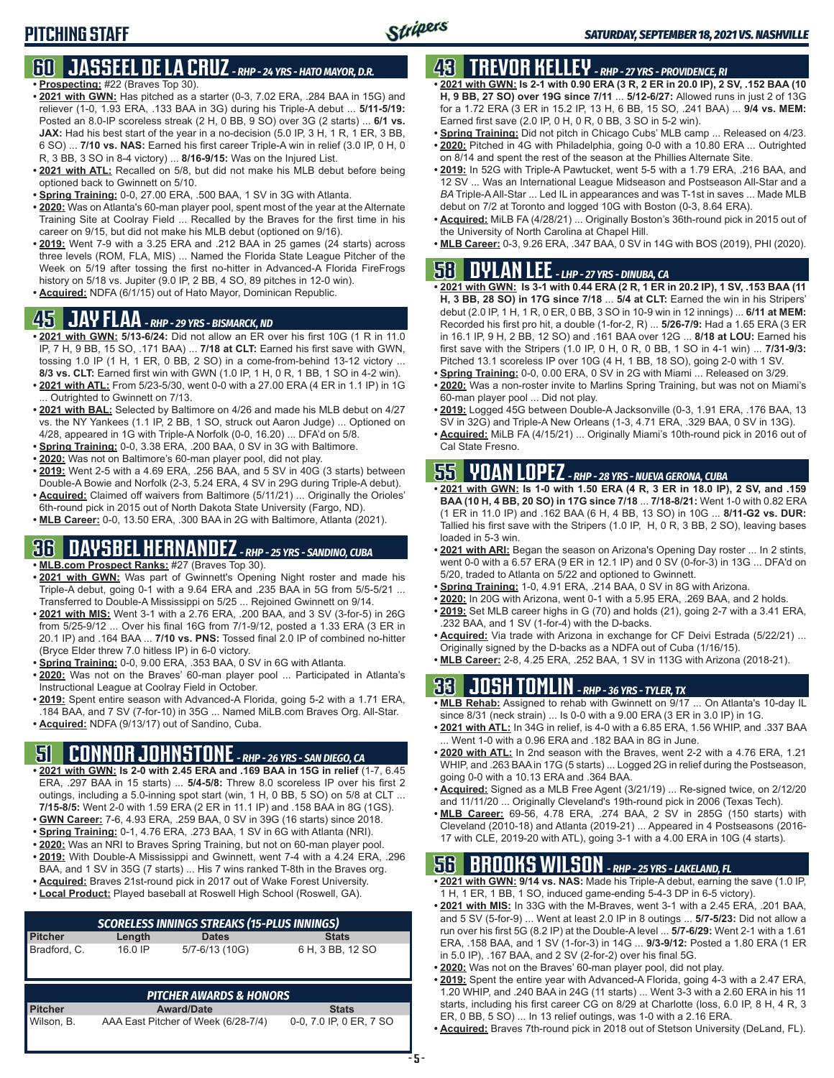#### **60 JASSEEL DE LA CRUZ** *- RHP - 24 YRS - HATO MAYOR, D.R.* **• Prospecting:** #22 (Braves Top 30).

- **• 2021 with GWN:** Has pitched as a starter (0-3, 7.02 ERA, .284 BAA in 15G) and reliever (1-0, 1.93 ERA, .133 BAA in 3G) during his Triple-A debut ... **5/11-5/19:** Posted an 8.0-IP scoreless streak (2 H, 0 BB, 9 SO) over 3G (2 starts) ... **6/1 vs. JAX:** Had his best start of the year in a no-decision (5.0 IP, 3 H, 1 R, 1 ER, 3 BB, 6 SO) ... **7/10 vs. NAS:** Earned his first career Triple-A win in relief (3.0 IP, 0 H, 0 R, 3 BB, 3 SO in 8-4 victory) ... **8/16-9/15:** Was on the Injured List.
- **• 2021 with ATL:** Recalled on 5/8, but did not make his MLB debut before being optioned back to Gwinnett on 5/10.
- **• Spring Training:** 0-0, 27.00 ERA, .500 BAA, 1 SV in 3G with Atlanta.
- **• 2020:** Was on Atlanta's 60-man player pool, spent most of the year at the Alternate Training Site at Coolray Field ... Recalled by the Braves for the first time in his career on 9/15, but did not make his MLB debut (optioned on 9/16).
- **• 2019:** Went 7-9 with a 3.25 ERA and .212 BAA in 25 games (24 starts) across three levels (ROM, FLA, MIS) ... Named the Florida State League Pitcher of the Week on 5/19 after tossing the first no-hitter in Advanced-A Florida FireFrogs history on 5/18 vs. Jupiter (9.0 IP, 2 BB, 4 SO, 89 pitches in 12-0 win).
- **• Acquired:** NDFA (6/1/15) out of Hato Mayor, Dominican Republic.

### **45 JAY FLAA** *- RHP - 29 YRS - BISMARCK, ND*

- **• 2021 with GWN: 5/13-6/24:** Did not allow an ER over his first 10G (1 R in 11.0 IP, 7 H, 9 BB, 15 SO, .171 BAA) ... **7/18 at CLT:** Earned his first save with GWN, tossing 1.0 IP (1 H, 1 ER, 0 BB, 2 SO) in a come-from-behind 13-12 victory ... **8/3 vs. CLT:** Earned first win with GWN (1.0 IP, 1 H, 0 R, 1 BB, 1 SO in 4-2 win).
- **• 2021 with ATL:** From 5/23-5/30, went 0-0 with a 27.00 ERA (4 ER in 1.1 IP) in 1G ... Outrighted to Gwinnett on 7/13.
- **• 2021 with BAL:** Selected by Baltimore on 4/26 and made his MLB debut on 4/27 vs. the NY Yankees (1.1 IP, 2 BB, 1 SO, struck out Aaron Judge) ... Optioned on 4/28, appeared in 1G with Triple-A Norfolk (0-0, 16.20) ... DFA'd on 5/8.
- **• Spring Training:** 0-0, 3.38 ERA, .200 BAA, 0 SV in 3G with Baltimore.
- **• 2020:** Was not on Baltimore's 60-man player pool, did not play.
- **• 2019:** Went 2-5 with a 4.69 ERA, .256 BAA, and 5 SV in 40G (3 starts) between Double-A Bowie and Norfolk (2-3, 5.24 ERA, 4 SV in 29G during Triple-A debut).
- **• Acquired:** Claimed off waivers from Baltimore (5/11/21) ... Originally the Orioles' 6th-round pick in 2015 out of North Dakota State University (Fargo, ND).
- **• MLB Career:** 0-0, 13.50 ERA, .300 BAA in 2G with Baltimore, Atlanta (2021).

### **36 DAYSBEL HERNANDEZ** *- RHP - 25 YRS - SANDINO, CUBA*

- **• MLB.com Prospect Ranks:** #27 (Braves Top 30).
- **• 2021 with GWN:** Was part of Gwinnett's Opening Night roster and made his Triple-A debut, going 0-1 with a 9.64 ERA and .235 BAA in 5G from 5/5-5/21 ... Transferred to Double-A Mississippi on 5/25 ... Rejoined Gwinnett on 9/14.
- **• 2021 with MIS:** Went 3-1 with a 2.76 ERA, .200 BAA, and 3 SV (3-for-5) in 26G from 5/25-9/12 ... Over his final 16G from 7/1-9/12, posted a 1.33 ERA (3 ER in 20.1 IP) and .164 BAA ... **7/10 vs. PNS:** Tossed final 2.0 IP of combined no-hitter (Bryce Elder threw 7.0 hitless IP) in 6-0 victory.
- **• Spring Training:** 0-0, 9.00 ERA, .353 BAA, 0 SV in 6G with Atlanta.
- **• 2020:** Was not on the Braves' 60-man player pool ... Participated in Atlanta's Instructional League at Coolray Field in October.
- **• 2019:** Spent entire season with Advanced-A Florida, going 5-2 with a 1.71 ERA, .184 BAA, and 7 SV (7-for-10) in 35G ... Named MiLB.com Braves Org. All-Star.
- **• Acquired:** NDFA (9/13/17) out of Sandino, Cuba.

## **51 CONNOR JOHNSTONE** *- RHP - 26 YRS - SAN DIEGO, CA*

- **• 2021 with GWN: Is 2-0 with 2.45 ERA and .169 BAA in 15G in relief** (1-7, 6.45 ERA, .297 BAA in 15 starts) ... **5/4-5/8:** Threw 8.0 scoreless IP over his first 2 outings, including a 5.0-inning spot start (win, 1 H, 0 BB, 5 SO) on 5/8 at CLT ... **7/15-8/5:** Went 2-0 with 1.59 ERA (2 ER in 11.1 IP) and .158 BAA in 8G (1GS).
- **• GWN Career:** 7-6, 4.93 ERA, .259 BAA, 0 SV in 39G (16 starts) since 2018.
- **• Spring Training:** 0-1, 4.76 ERA, .273 BAA, 1 SV in 6G with Atlanta (NRI).
- **• 2020:** Was an NRI to Braves Spring Training, but not on 60-man player pool.
- **• 2019:** With Double-A Mississippi and Gwinnett, went 7-4 with a 4.24 ERA, .296 BAA, and 1 SV in 35G (7 starts) ... His 7 wins ranked T-8th in the Braves org.
- **• Acquired:** Braves 21st-round pick in 2017 out of Wake Forest University.
- **• Local Product:** Played baseball at Roswell High School (Roswell, GA).

| <b>SCORELESS INNINGS STREAKS (15-PLUS INNINGS)</b> |         |                                     |                         |  |  |  |  |  |
|----------------------------------------------------|---------|-------------------------------------|-------------------------|--|--|--|--|--|
| <b>Pitcher</b>                                     | Length  | <b>Dates</b>                        | <b>Stats</b>            |  |  |  |  |  |
| Bradford, C.                                       | 16.0 IP | 5/7-6/13 (10G)                      | 6 H, 3 BB, 12 SO        |  |  |  |  |  |
|                                                    |         | <b>PITCHER AWARDS &amp; HONORS</b>  |                         |  |  |  |  |  |
| <b>Pitcher</b>                                     |         | <b>Award/Date</b>                   | <b>Stats</b>            |  |  |  |  |  |
| Wilson, B.                                         |         | AAA East Pitcher of Week (6/28-7/4) | 0-0, 7.0 IP, 0 ER, 7 SO |  |  |  |  |  |

## **43 TREVOR KELLEY** *- RHP - 27 YRS - PROVIDENCE, RI*

- **• 2021 with GWN: Is 2-1 with 0.90 ERA (3 R, 2 ER in 20.0 IP), 2 SV, .152 BAA (10 H, 9 BB, 27 SO) over 19G since 7/11** ... **5/12-6/27:** Allowed runs in just 2 of 13G for a 1.72 ERA (3 ER in 15.2 IP, 13 H, 6 BB, 15 SO, .241 BAA) ... **9/4 vs. MEM:** Earned first save (2.0 IP, 0 H, 0 R, 0 BB, 3 SO in 5-2 win).
- **• Spring Training:** Did not pitch in Chicago Cubs' MLB camp ... Released on 4/23.
- **• 2020:** Pitched in 4G with Philadelphia, going 0-0 with a 10.80 ERA ... Outrighted on 8/14 and spent the rest of the season at the Phillies Alternate Site.
- **• 2019:** In 52G with Triple-A Pawtucket, went 5-5 with a 1.79 ERA, .216 BAA, and 12 SV ... Was an International League Midseason and Postseason All-Star and a *BA* Triple-A All-Star ... Led IL in appearances and was T-1st in saves ... Made MLB debut on 7/2 at Toronto and logged 10G with Boston (0-3, 8.64 ERA).
- **• Acquired:** MiLB FA (4/28/21) ... Originally Boston's 36th-round pick in 2015 out of the University of North Carolina at Chapel Hill.
- **• MLB Career:** 0-3, 9.26 ERA, .347 BAA, 0 SV in 14G with BOS (2019), PHI (2020).

# **58 DYLAN LEE** *- LHP - 27 YRS - DINUBA, CA*

- **• 2021 with GWN: Is 3-1 with 0.44 ERA (2 R, 1 ER in 20.2 IP), 1 SV, .153 BAA (11 H, 3 BB, 28 SO) in 17G since 7/18** ... **5/4 at CLT:** Earned the win in his Stripers' debut (2.0 IP, 1 H, 1 R, 0 ER, 0 BB, 3 SO in 10-9 win in 12 innings) ... **6/11 at MEM:** Recorded his first pro hit, a double (1-for-2, R) ... **5/26-7/9:** Had a 1.65 ERA (3 ER in 16.1 IP, 9 H, 2 BB, 12 SO) and .161 BAA over 12G ... **8/18 at LOU:** Earned his first save with the Stripers (1.0 IP, 0 H, 0 R, 0 BB, 1 SO in 4-1 win) ... **7/31-9/3:** Pitched 13.1 scoreless IP over 10G (4 H, 1 BB, 18 SO), going 2-0 with 1 SV.
- **• Spring Training:** 0-0, 0.00 ERA, 0 SV in 2G with Miami ... Released on 3/29.
- **• 2020:** Was a non-roster invite to Marlins Spring Training, but was not on Miami's 60-man player pool ... Did not play.
- **• 2019:** Logged 45G between Double-A Jacksonville (0-3, 1.91 ERA, .176 BAA, 13 SV in 32G) and Triple-A New Orleans (1-3, 4.71 ERA, .329 BAA, 0 SV in 13G).
- **• Acquired:** MiLB FA (4/15/21) ... Originally Miami's 10th-round pick in 2016 out of Cal State Fresno.

# **55 YOAN LOPEZ** *- RHP - 28 YRS - NUEVA GERONA, CUBA*

- **• 2021 with GWN: Is 1-0 with 1.50 ERA (4 R, 3 ER in 18.0 IP), 2 SV, and .159 BAA (10 H, 4 BB, 20 SO) in 17G since 7/18** ... **7/18-8/21:** Went 1-0 with 0.82 ERA (1 ER in 11.0 IP) and .162 BAA (6 H, 4 BB, 13 SO) in 10G ... **8/11-G2 vs. DUR:** Tallied his first save with the Stripers (1.0 IP, H, 0 R, 3 BB, 2 SO), leaving bases loaded in 5-3 win.
- **• 2021 with ARI:** Began the season on Arizona's Opening Day roster ... In 2 stints, went 0-0 with a 6.57 ERA (9 ER in 12.1 IP) and 0 SV (0-for-3) in 13G ... DFA'd on 5/20, traded to Atlanta on 5/22 and optioned to Gwinnett.
- **• Spring Training:** 1-0, 4.91 ERA, .214 BAA, 0 SV in 8G with Arizona.
- **• 2020:** In 20G with Arizona, went 0-1 with a 5.95 ERA, .269 BAA, and 2 holds.
- **• 2019:** Set MLB career highs in G (70) and holds (21), going 2-7 with a 3.41 ERA, .232 BAA, and 1 SV (1-for-4) with the D-backs.
- **• Acquired:** Via trade with Arizona in exchange for CF Deivi Estrada (5/22/21) ... Originally signed by the D-backs as a NDFA out of Cuba (1/16/15).
- **• MLB Career:** 2-8, 4.25 ERA, .252 BAA, 1 SV in 113G with Arizona (2018-21).

# **33 JOSH TOMLIN** *- RHP - 36 YRS - TYLER, TX*

- **• MLB Rehab:** Assigned to rehab with Gwinnett on 9/17 ... On Atlanta's 10-day IL since 8/31 (neck strain) ... Is 0-0 with a 9.00 ERA (3 ER in 3.0 IP) in 1G.
- **• 2021 with ATL:** In 34G in relief, is 4-0 with a 6.85 ERA, 1.56 WHIP, and .337 BAA Went 1-0 with a 0.96 ERA and .182 BAA in 8G in June.
- **• 2020 with ATL:** In 2nd season with the Braves, went 2-2 with a 4.76 ERA, 1.21 WHIP, and .263 BAA in 17G (5 starts) ... Logged 2G in relief during the Postseason, going 0-0 with a 10.13 ERA and .364 BAA.
- **• Acquired:** Signed as a MLB Free Agent (3/21/19) ... Re-signed twice, on 2/12/20 and 11/11/20 ... Originally Cleveland's 19th-round pick in 2006 (Texas Tech).
- **• MLB Career:** 69-56, 4.78 ERA, .274 BAA, 2 SV in 285G (150 starts) with Cleveland (2010-18) and Atlanta (2019-21) ... Appeared in 4 Postseasons (2016- 17 with CLE, 2019-20 with ATL), going 3-1 with a 4.00 ERA in 10G (4 starts).

### **56 BROOKS WILSON** *- RHP - 25 YRS - LAKELAND, FL*

- **• 2021 with GWN: 9/14 vs. NAS:** Made his Triple-A debut, earning the save (1.0 IP, 1 H, 1 ER, 1 BB, 1 SO, induced game-ending 5-4-3 DP in 6-5 victory).
- **• 2021 with MIS:** In 33G with the M-Braves, went 3-1 with a 2.45 ERA, .201 BAA, and 5 SV (5-for-9) ... Went at least 2.0 IP in 8 outings ... **5/7-5/23:** Did not allow a run over his first 5G (8.2 IP) at the Double-A level ... **5/7-6/29:** Went 2-1 with a 1.61 ERA, .158 BAA, and 1 SV (1-for-3) in 14G ... **9/3-9/12:** Posted a 1.80 ERA (1 ER in 5.0 IP), .167 BAA, and 2 SV (2-for-2) over his final 5G.
- **• 2020:** Was not on the Braves' 60-man player pool, did not play.
- **• 2019:** Spent the entire year with Advanced-A Florida, going 4-3 with a 2.47 ERA, 1.20 WHIP, and .240 BAA in 24G (11 starts) ... Went 3-3 with a 2.60 ERA in his 11 starts, including his first career CG on 8/29 at Charlotte (loss, 6.0 IP, 8 H, 4 R, 3 ER, 0 BB, 5 SO) ... In 13 relief outings, was 1-0 with a 2.16 ERA.
- **• Acquired:** Braves 7th-round pick in 2018 out of Stetson University (DeLand, FL).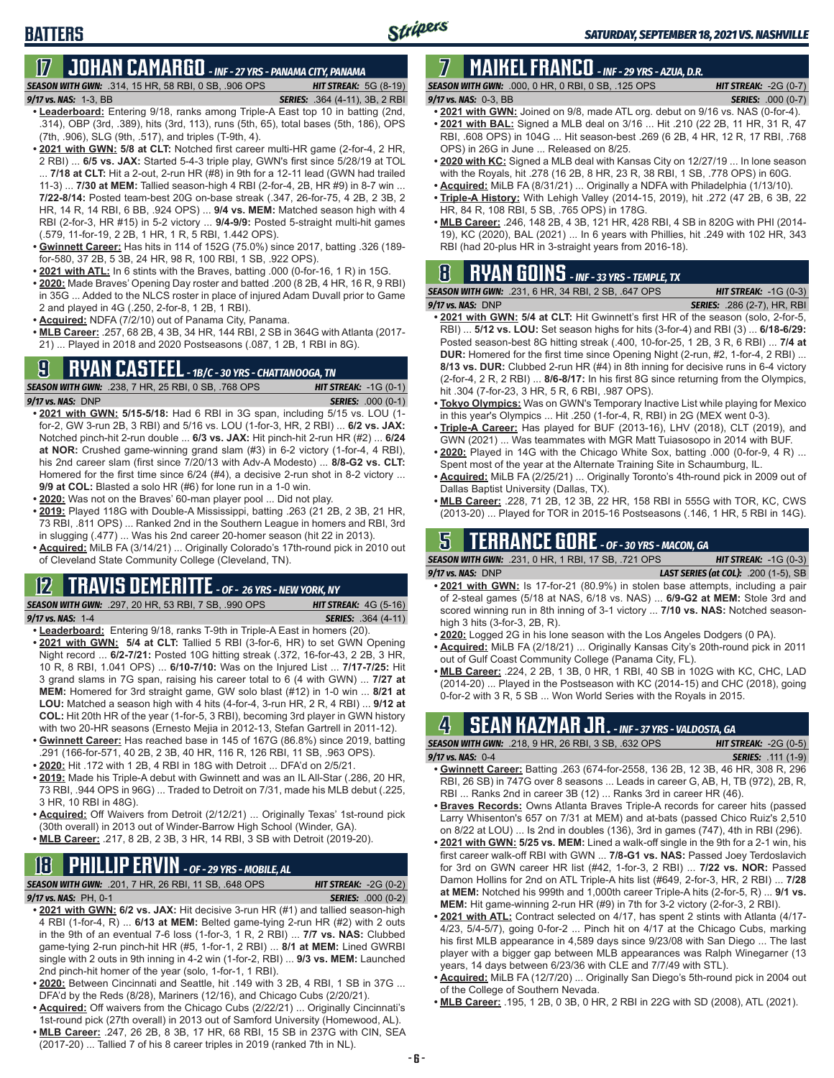# **17 JOHAN CAMARGO** *- INF - 27 YRS - PANAMA CITY, PANAMA*

*SEASON WITH GWN:*.314, 15 HR, 58 RBI, 0 SB, .906 OPS *HIT STREAK:* 5G (8-19)

**BATTERS**

- *9/17 vs. NAS:* 1-3, BB *SERIES:* .364 (4-11), 3B, 2 RBI **• Leaderboard:** Entering 9/18, ranks among Triple-A East top 10 in batting (2nd, .314), OBP (3rd, .389), hits (3rd, 113), runs (5th, 65), total bases (5th, 186), OPS (7th, .906), SLG (9th, .517), and triples (T-9th, 4).
- **• 2021 with GWN: 5/8 at CLT:** Notched first career multi-HR game (2-for-4, 2 HR, 2 RBI) ... **6/5 vs. JAX:** Started 5-4-3 triple play, GWN's first since 5/28/19 at TOL ... **7/18 at CLT:** Hit a 2-out, 2-run HR (#8) in 9th for a 12-11 lead (GWN had trailed 11-3) ... **7/30 at MEM:** Tallied season-high 4 RBI (2-for-4, 2B, HR #9) in 8-7 win ... **7/22-8/14:** Posted team-best 20G on-base streak (.347, 26-for-75, 4 2B, 2 3B, 2 HR, 14 R, 14 RBI, 6 BB, .924 OPS) ... **9/4 vs. MEM:** Matched season high with 4 RBI (2-for-3, HR #15) in 5-2 victory ... **9/4-9/9:** Posted 5-straight multi-hit games (.579, 11-for-19, 2 2B, 1 HR, 1 R, 5 RBI, 1.442 OPS).
- **• Gwinnett Career:** Has hits in 114 of 152G (75.0%) since 2017, batting .326 (189 for-580, 37 2B, 5 3B, 24 HR, 98 R, 100 RBI, 1 SB, .922 OPS).
- **• 2021 with ATL:** In 6 stints with the Braves, batting .000 (0-for-16, 1 R) in 15G.
- **• 2020:** Made Braves' Opening Day roster and batted .200 (8 2B, 4 HR, 16 R, 9 RBI) in 35G ... Added to the NLCS roster in place of injured Adam Duvall prior to Game 2 and played in 4G (.250, 2-for-8, 1 2B, 1 RBI).
- **• Acquired:** NDFA (7/2/10) out of Panama City, Panama.
- **• MLB Career:** .257, 68 2B, 4 3B, 34 HR, 144 RBI, 2 SB in 364G with Atlanta (2017- 21) ... Played in 2018 and 2020 Postseasons (.087, 1 2B, 1 RBI in 8G).

### **9 RYAN CASTEEL** *- 1B/C - 30 YRS - CHATTANOOGA, TN*

*SEASON WITH GWN:*.238, 7 HR, 25 RBI, 0 SB, .768 OPS *HIT STREAK:* -1G (0-1) *9/17 vs. NAS:*DNP *SERIES:* .000 (0-1)

- **• 2021 with GWN: 5/15-5/18:** Had 6 RBI in 3G span, including 5/15 vs. LOU (1 for-2, GW 3-run 2B, 3 RBI) and 5/16 vs. LOU (1-for-3, HR, 2 RBI) ... **6/2 vs. JAX:** Notched pinch-hit 2-run double ... **6/3 vs. JAX:** Hit pinch-hit 2-run HR (#2) ... **6/24 at NOR:** Crushed game-winning grand slam (#3) in 6-2 victory (1-for-4, 4 RBI), his 2nd career slam (first since 7/20/13 with Adv-A Modesto) ... **8/8-G2 vs. CLT:** Homered for the first time since 6/24 (#4), a decisive 2-run shot in 8-2 victory ... **9/9 at COL:** Blasted a solo HR (#6) for lone run in a 1-0 win.
- **• 2020:** Was not on the Braves' 60-man player pool ... Did not play.
- **• 2019:** Played 118G with Double-A Mississippi, batting .263 (21 2B, 2 3B, 21 HR, 73 RBI, .811 OPS) ... Ranked 2nd in the Southern League in homers and RBI, 3rd in slugging (.477) ... Was his 2nd career 20-homer season (hit 22 in 2013).
- **• Acquired:** MiLB FA (3/14/21) ... Originally Colorado's 17th-round pick in 2010 out of Cleveland State Community College (Cleveland, TN).

#### **12 TRAVIS DEMERITTE** *- OF - 26 YRS - NEW YORK, NY*

*SEASON WITH GWN:*.297, 20 HR, 53 RBI, 7 SB, .990 OPS *HIT STREAK:* 4G (5-16) *9/17 vs. NAS:*1-4 *SERIES:* .364 (4-11)

- **• Leaderboard:** Entering 9/18, ranks T-9th in Triple-A East in homers (20).
- **• 2021 with GWN: 5/4 at CLT:** Tallied 5 RBI (3-for-6, HR) to set GWN Opening Night record ... **6/2-7/21:** Posted 10G hitting streak (.372, 16-for-43, 2 2B, 3 HR, 10 R, 8 RBI, 1.041 OPS) ... **6/10-7/10:** Was on the Injured List ... **7/17-7/25:** Hit 3 grand slams in 7G span, raising his career total to 6 (4 with GWN) ... **7/27 at MEM:** Homered for 3rd straight game, GW solo blast (#12) in 1-0 win ... **8/21 at LOU:** Matched a season high with 4 hits (4-for-4, 3-run HR, 2 R, 4 RBI) ... **9/12 at COL:** Hit 20th HR of the year (1-for-5, 3 RBI), becoming 3rd player in GWN history with two 20-HR seasons (Ernesto Mejia in 2012-13, Stefan Gartrell in 2011-12).
- **• Gwinnett Career:** Has reached base in 145 of 167G (86.8%) since 2019, batting .291 (166-for-571, 40 2B, 2 3B, 40 HR, 116 R, 126 RBI, 11 SB, .963 OPS).
- **• 2020:** Hit .172 with 1 2B, 4 RBI in 18G with Detroit ... DFA'd on 2/5/21.
- **• 2019:** Made his Triple-A debut with Gwinnett and was an IL All-Star (.286, 20 HR, 73 RBI, .944 OPS in 96G) ... Traded to Detroit on 7/31, made his MLB debut (.225, 3 HR, 10 RBI in 48G).
- **• Acquired:** Off Waivers from Detroit (2/12/21) ... Originally Texas' 1st-round pick (30th overall) in 2013 out of Winder-Barrow High School (Winder, GA).
- **• MLB Career:** .217, 8 2B, 2 3B, 3 HR, 14 RBI, 3 SB with Detroit (2019-20).

# **18 PHILLIP ERVIN** *- OF - 29 YRS - MOBILE, AL*

*SEASON WITH GWN:*.201, 7 HR, 26 RBI, 11 SB, .648 OPS *HIT STREAK:* -2G (0-2)

*9/17 vs. NAS:*PH, 0-1 *SERIES:* .000 (0-2)

- **• 2021 with GWN: 6/2 vs. JAX:** Hit decisive 3-run HR (#1) and tallied season-high 4 RBI (1-for-4, R) ... **6/13 at MEM:** Belted game-tying 2-run HR (#2) with 2 outs in the 9th of an eventual 7-6 loss (1-for-3, 1 R, 2 RBI) ... **7/7 vs. NAS:** Clubbed game-tying 2-run pinch-hit HR (#5, 1-for-1, 2 RBI) ... **8/1 at MEM:** Lined GWRBI single with 2 outs in 9th inning in 4-2 win (1-for-2, RBI) ... **9/3 vs. MEM:** Launched 2nd pinch-hit homer of the year (solo, 1-for-1, 1 RBI).
- **• 2020:** Between Cincinnati and Seattle, hit .149 with 3 2B, 4 RBI, 1 SB in 37G ... DFA'd by the Reds (8/28), Mariners (12/16), and Chicago Cubs (2/20/21).
- **• Acquired:** Off waivers from the Chicago Cubs (2/22/21) ... Originally Cincinnati's 1st-round pick (27th overall) in 2013 out of Samford University (Homewood, AL).
- **• MLB Career:** .247, 26 2B, 8 3B, 17 HR, 68 RBI, 15 SB in 237G with CIN, SEA (2017-20) ... Tallied 7 of his 8 career triples in 2019 (ranked 7th in NL).

### **7 MAIKEL FRANCO** *- INF - 29 YRS - AZUA, D.R.*

*SEASON WITH GWN:*.000, 0 HR, 0 RBI, 0 SB, .125 OPS *HIT STREAK:* -2G (0-7) *9/17 vs. NAS:*0-3, BB *SERIES:* .000 (0-7)

- **• 2021 with GWN:** Joined on 9/8, made ATL org. debut on 9/16 vs. NAS (0-for-4).
- **• 2021 with BAL:** Signed a MLB deal on 3/16 ... Hit .210 (22 2B, 11 HR, 31 R, 47 RBI, .608 OPS) in 104G ... Hit season-best .269 (6 2B, 4 HR, 12 R, 17 RBI, .768 OPS) in 26G in June ... Released on 8/25.
- **• 2020 with KC:** Signed a MLB deal with Kansas City on 12/27/19 ... In lone season with the Royals, hit .278 (16 2B, 8 HR, 23 R, 38 RBI, 1 SB, .778 OPS) in 60G.
- **• Acquired:** MiLB FA (8/31/21) ... Originally a NDFA with Philadelphia (1/13/10).
- **• Triple-A History:** With Lehigh Valley (2014-15, 2019), hit .272 (47 2B, 6 3B, 22 HR, 84 R, 108 RBI, 5 SB, .765 OPS) in 178G.
- **• MLB Career:** .246, 148 2B, 4 3B, 121 HR, 428 RBI, 4 SB in 820G with PHI (2014- 19), KC (2020), BAL (2021) ... In 6 years with Phillies, hit .249 with 102 HR, 343 RBI (had 20-plus HR in 3-straight years from 2016-18).

### **8 RYAN GOINS** *- INF - 33 YRS - TEMPLE, TX*

|                   | <b>SEASON WITH GWN:</b> .231.6 HR. 34 RBI. 2 SB. .647 OPS | <b>HIT STREAK:</b> $-1G(0-3)$      |
|-------------------|-----------------------------------------------------------|------------------------------------|
| 9/17 vs. NAS: DNP |                                                           | <b>SERIES:</b> .286 (2-7), HR, RBI |
|                   |                                                           |                                    |

- **• 2021 with GWN: 5/4 at CLT:** Hit Gwinnett's first HR of the season (solo, 2-for-5, RBI) ... **5/12 vs. LOU:** Set season highs for hits (3-for-4) and RBI (3) ... **6/18-6/29:** Posted season-best 8G hitting streak (.400, 10-for-25, 1 2B, 3 R, 6 RBI) ... **7/4 at DUR:** Homered for the first time since Opening Night (2-run, #2, 1-for-4, 2 RBI) ... **8/13 vs. DUR:** Clubbed 2-run HR (#4) in 8th inning for decisive runs in 6-4 victory (2-for-4, 2 R, 2 RBI) ... **8/6-8/17:** In his first 8G since returning from the Olympics, hit .304 (7-for-23, 3 HR, 5 R, 6 RBI, .987 OPS).
- **• Tokyo Olympics:** Was on GWN's Temporary Inactive List while playing for Mexico in this year's Olympics ... Hit .250 (1-for-4, R, RBI) in 2G (MEX went 0-3).
- **• Triple-A Career:** Has played for BUF (2013-16), LHV (2018), CLT (2019), and GWN (2021) ... Was teammates with MGR Matt Tuiasosopo in 2014 with BUF.
- **• 2020:** Played in 14G with the Chicago White Sox, batting .000 (0-for-9, 4 R) ... Spent most of the year at the Alternate Training Site in Schaumburg, IL.
- **• Acquired:** MiLB FA (2/25/21) ... Originally Toronto's 4th-round pick in 2009 out of Dallas Baptist University (Dallas, TX).
- **• MLB Career:** .228, 71 2B, 12 3B, 22 HR, 158 RBI in 555G with TOR, KC, CWS (2013-20) ... Played for TOR in 2015-16 Postseasons (.146, 1 HR, 5 RBI in 14G).

### **5 TERRANCE GORE** *- OF - 30 YRS - MACON, GA*

*SEASON WITH GWN:*.231, 0 HR, 1 RBI, 17 SB, .721 OPS *HIT STREAK:* -1G (0-3) *9/17 vs. NAS:*DNP *LAST SERIES (at COL):* .200 (1-5), SB

- **• 2021 with GWN:** Is 17-for-21 (80.9%) in stolen base attempts, including a pair of 2-steal games (5/18 at NAS, 6/18 vs. NAS) ... **6/9-G2 at MEM:** Stole 3rd and scored winning run in 8th inning of 3-1 victory ... **7/10 vs. NAS:** Notched seasonhigh 3 hits (3-for-3, 2B, R).
- **• 2020:** Logged 2G in his lone season with the Los Angeles Dodgers (0 PA).
- **• Acquired:** MiLB FA (2/18/21) ... Originally Kansas City's 20th-round pick in 2011 out of Gulf Coast Community College (Panama City, FL).
- **• MLB Career:** .224, 2 2B, 1 3B, 0 HR, 1 RBI, 40 SB in 102G with KC, CHC, LAD (2014-20) ... Played in the Postseason with KC (2014-15) and CHC (2018), going 0-for-2 with 3 R, 5 SB ... Won World Series with the Royals in 2015.

### **4 SEAN KAZMAR JR.** *- INF - 37 YRS - VALDOSTA, GA*

| <b>SEASON WITH GWN:</b> .218, 9 HR, 26 RBI, 3 SB, .632 OPS                |  | <b>HIT STREAK:</b> $-2G(0-5)$ |                           |  |
|---------------------------------------------------------------------------|--|-------------------------------|---------------------------|--|
| $9/17$ vs. NAS: $0-4$                                                     |  |                               | <b>SERIES:</b> .111 (1-9) |  |
| . Cuinnatt Caroor: Potting 262 (674 for 2550 126 2D 12 2D 46 UD 200 D 206 |  |                               |                           |  |

- **Batting .263 (674-for-2558, 136 2B, 12 3B, 46** RBI, 26 SB) in 747G over 8 seasons ... Leads in career G, AB, H, TB (972), 2B, R, RBI ... Ranks 2nd in career 3B (12) ... Ranks 3rd in career HR (46).
- **• Braves Records:** Owns Atlanta Braves Triple-A records for career hits (passed Larry Whisenton's 657 on 7/31 at MEM) and at-bats (passed Chico Ruiz's 2,510 on 8/22 at LOU) ... Is 2nd in doubles (136), 3rd in games (747), 4th in RBI (296).
- **• 2021 with GWN: 5/25 vs. MEM:** Lined a walk-off single in the 9th for a 2-1 win, his first career walk-off RBI with GWN ... **7/8-G1 vs. NAS:** Passed Joey Terdoslavich for 3rd on GWN career HR list (#42, 1-for-3, 2 RBI) ... **7/22 vs. NOR:** Passed Damon Hollins for 2nd on ATL Triple-A hits list (#649, 2-for-3, HR, 2 RBI) ... **7/28 at MEM:** Notched his 999th and 1,000th career Triple-A hits (2-for-5, R) ... **9/1 vs. MEM:** Hit game-winning 2-run HR (#9) in 7th for 3-2 victory (2-for-3, 2 RBI).
- **• 2021 with ATL:** Contract selected on 4/17, has spent 2 stints with Atlanta (4/17- 4/23, 5/4-5/7), going 0-for-2 ... Pinch hit on 4/17 at the Chicago Cubs, marking his first MLB appearance in 4,589 days since 9/23/08 with San Diego ... The last player with a bigger gap between MLB appearances was Ralph Winegarner (13 years, 14 days between 6/23/36 with CLE and 7/7/49 with STL).
- **• Acquired:** MiLB FA (12/7/20) ... Originally San Diego's 5th-round pick in 2004 out of the College of Southern Nevada.
- **• MLB Career:** .195, 1 2B, 0 3B, 0 HR, 2 RBI in 22G with SD (2008), ATL (2021).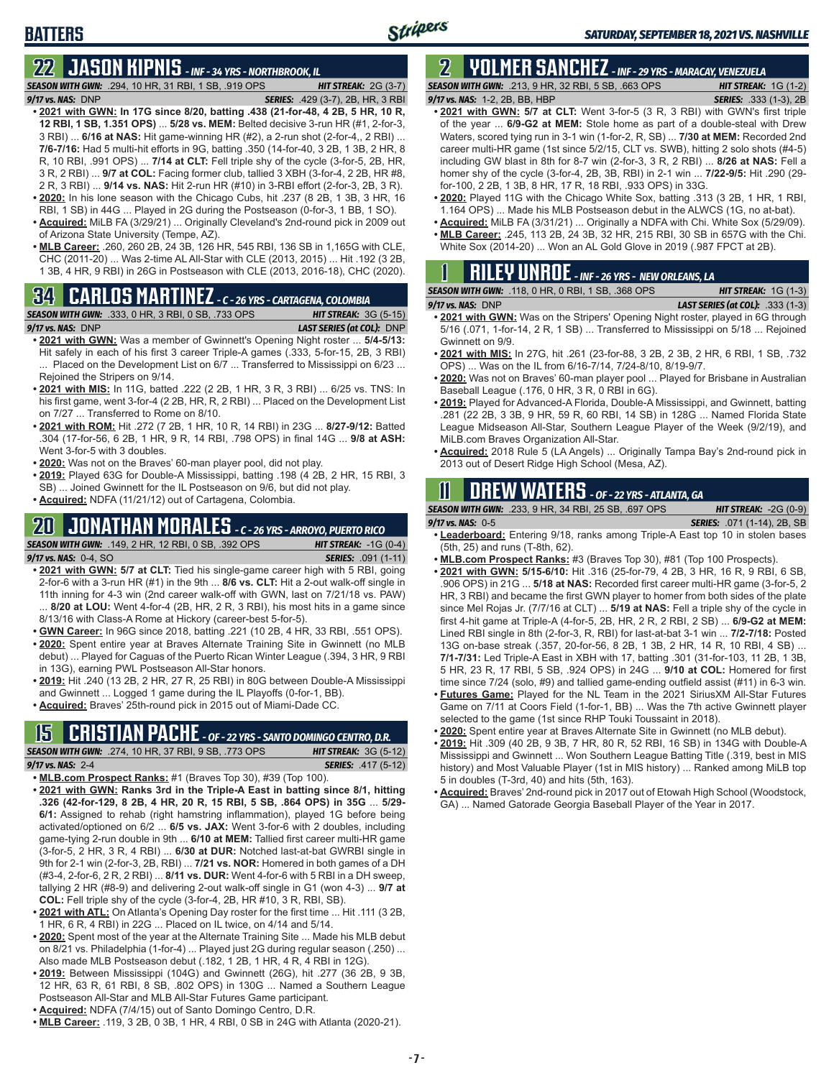# **BATTERS**

# **22 JASON KIPNIS** *- INF - 34 YRS - NORTHBROOK, IL*

*SEASON WITH GWN:*.294, 10 HR, 31 RBI, 1 SB, .919 OPS *HIT STREAK:* 2G (3-7) *9/17 vs. NAS:*DNP *SERIES:* .429 (3-7), 2B, HR, 3 RBI

- **• 2021 with GWN: In 17G since 8/20, batting .438 (21-for-48, 4 2B, 5 HR, 10 R, 12 RBI, 1 SB, 1.351 OPS)** ... **5/28 vs. MEM:** Belted decisive 3-run HR (#1, 2-for-3, 3 RBI) ... **6/16 at NAS:** Hit game-winning HR (#2), a 2-run shot (2-for-4,, 2 RBI) ... **7/6-7/16:** Had 5 multi-hit efforts in 9G, batting .350 (14-for-40, 3 2B, 1 3B, 2 HR, 8 R, 10 RBI, .991 OPS) ... **7/14 at CLT:** Fell triple shy of the cycle (3-for-5, 2B, HR, 3 R, 2 RBI) ... **9/7 at COL:** Facing former club, tallied 3 XBH (3-for-4, 2 2B, HR #8, 2 R, 3 RBI) ... **9/14 vs. NAS:** Hit 2-run HR (#10) in 3-RBI effort (2-for-3, 2B, 3 R). **• 2020:** In his lone season with the Chicago Cubs, hit .237 (8 2B, 1 3B, 3 HR, 16
- RBI, 1 SB) in 44G ... Played in 2G during the Postseason (0-for-3, 1 BB, 1 SO).
- **• Acquired:** MiLB FA (3/29/21) ... Originally Cleveland's 2nd-round pick in 2009 out of Arizona State University (Tempe, AZ).
- **• MLB Career:** .260, 260 2B, 24 3B, 126 HR, 545 RBI, 136 SB in 1,165G with CLE, CHC (2011-20) ... Was 2-time AL All-Star with CLE (2013, 2015) ... Hit .192 (3 2B, 1 3B, 4 HR, 9 RBI) in 26G in Postseason with CLE (2013, 2016-18), CHC (2020).

## **34 CARLOS MARTINEZ** *- C - 26 YRS - CARTAGENA, COLOMBIA*



- **• 2021 with GWN:** Was a member of Gwinnett's Opening Night roster ... **5/4-5/13:** Hit safely in each of his first 3 career Triple-A games (.333, 5-for-15, 2B, 3 RBI) ... Placed on the Development List on 6/7 ... Transferred to Mississippi on 6/23 ... Rejoined the Stripers on 9/14.
- **• 2021 with MIS:** In 11G, batted .222 (2 2B, 1 HR, 3 R, 3 RBI) ... 6/25 vs. TNS: In his first game, went 3-for-4 (2 2B, HR, R, 2 RBI) ... Placed on the Development List on 7/27 ... Transferred to Rome on 8/10.
- **• 2021 with ROM:** Hit .272 (7 2B, 1 HR, 10 R, 14 RBI) in 23G ... **8/27-9/12:** Batted .304 (17-for-56, 6 2B, 1 HR, 9 R, 14 RBI, .798 OPS) in final 14G ... **9/8 at ASH:** Went 3-for-5 with 3 doubles.
- **• 2020:** Was not on the Braves' 60-man player pool, did not play.
- **• 2019:** Played 63G for Double-A Mississippi, batting .198 (4 2B, 2 HR, 15 RBI, 3 SB) ... Joined Gwinnett for the IL Postseason on 9/6, but did not play.
- **• Acquired:** NDFA (11/21/12) out of Cartagena, Colombia.

### **20 JONATHAN MORALES** *- C - 26 YRS - ARROYO, PUERTO RICO*



- **• 2021 with GWN: 5/7 at CLT:** Tied his single-game career high with 5 RBI, going 2-for-6 with a 3-run HR (#1) in the 9th ... **8/6 vs. CLT:** Hit a 2-out walk-off single in 11th inning for 4-3 win (2nd career walk-off with GWN, last on 7/21/18 vs. PAW) ... **8/20 at LOU:** Went 4-for-4 (2B, HR, 2 R, 3 RBI), his most hits in a game since 8/13/16 with Class-A Rome at Hickory (career-best 5-for-5).
- **• GWN Career:** In 96G since 2018, batting .221 (10 2B, 4 HR, 33 RBI, .551 OPS).
- **• 2020:** Spent entire year at Braves Alternate Training Site in Gwinnett (no MLB debut) ... Played for Caguas of the Puerto Rican Winter League (.394, 3 HR, 9 RBI in 13G), earning PWL Postseason All-Star honors.
- **• 2019:** Hit .240 (13 2B, 2 HR, 27 R, 25 RBI) in 80G between Double-A Mississippi and Gwinnett ... Logged 1 game during the IL Playoffs (0-for-1, BB).
- **• Acquired:** Braves' 25th-round pick in 2015 out of Miami-Dade CC.

### **15 CRISTIAN PACHE** *- OF - 22 YRS - SANTO DOMINGO CENTRO, D.R.*

*SEASON WITH GWN:*.274, 10 HR, 37 RBI, 9 SB, .773 OPS *HIT STREAK:* 3G (5-12) *9/17 vs. NAS:* 2-4 *SERIES:* .417 (5-12)

- **• MLB.com Prospect Ranks:** #1 (Braves Top 30), #39 (Top 100).
- **• 2021 with GWN: Ranks 3rd in the Triple-A East in batting since 8/1, hitting .326 (42-for-129, 8 2B, 4 HR, 20 R, 15 RBI, 5 SB, .864 OPS) in 35G** ... **5/29- 6/1:** Assigned to rehab (right hamstring inflammation), played 1G before being activated/optioned on 6/2 ... **6/5 vs. JAX:** Went 3-for-6 with 2 doubles, including game-tying 2-run double in 9th ... **6/10 at MEM:** Tallied first career multi-HR game (3-for-5, 2 HR, 3 R, 4 RBI) ... **6/30 at DUR:** Notched last-at-bat GWRBI single in 9th for 2-1 win (2-for-3, 2B, RBI) ... **7/21 vs. NOR:** Homered in both games of a DH (#3-4, 2-for-6, 2 R, 2 RBI) ... **8/11 vs. DUR:** Went 4-for-6 with 5 RBI in a DH sweep, tallying 2 HR (#8-9) and delivering 2-out walk-off single in G1 (won 4-3) ... **9/7 at COL:** Fell triple shy of the cycle (3-for-4, 2B, HR #10, 3 R, RBI, SB).
- **• 2021 with ATL:** On Atlanta's Opening Day roster for the first time ... Hit .111 (3 2B, 1 HR, 6 R, 4 RBI) in 22G ... Placed on IL twice, on 4/14 and 5/14.
- **• 2020:** Spent most of the year at the Alternate Training Site ... Made his MLB debut on 8/21 vs. Philadelphia (1-for-4) ... Played just 2G during regular season (.250) ... Also made MLB Postseason debut (.182, 1 2B, 1 HR, 4 R, 4 RBI in 12G).
- **• 2019:** Between Mississippi (104G) and Gwinnett (26G), hit .277 (36 2B, 9 3B, 12 HR, 63 R, 61 RBI, 8 SB, .802 OPS) in 130G ... Named a Southern League Postseason All-Star and MLB All-Star Futures Game participant.
- **• Acquired:** NDFA (7/4/15) out of Santo Domingo Centro, D.R.
- **• MLB Career:** .119, 3 2B, 0 3B, 1 HR, 4 RBI, 0 SB in 24G with Atlanta (2020-21).

# **2 YOLMER SANCHEZ** *- INF - 29 YRS - MARACAY, VENEZUELA*

*SEASON WITH GWN:*.213, 9 HR, 32 RBI, 5 SB, .663 OPS *HIT STREAK:* 1G (1-2) *9/17 vs. NAS:*1-2, 2B, BB, HBP *SERIES:* .333 (1-3), 2B

- **• 2021 with GWN: 5/7 at CLT:** Went 3-for-5 (3 R, 3 RBI) with GWN's first triple of the year ... **6/9-G2 at MEM:** Stole home as part of a double-steal with Drew Waters, scored tying run in 3-1 win (1-for-2, R, SB) ... **7/30 at MEM:** Recorded 2nd career multi-HR game (1st since 5/2/15, CLT vs. SWB), hitting 2 solo shots (#4-5) including GW blast in 8th for 8-7 win (2-for-3, 3 R, 2 RBI) ... **8/26 at NAS:** Fell a homer shy of the cycle (3-for-4, 2B, 3B, RBI) in 2-1 win ... **7/22-9/5:** Hit .290 (29 for-100, 2 2B, 1 3B, 8 HR, 17 R, 18 RBI, .933 OPS) in 33G.
- **• 2020:** Played 11G with the Chicago White Sox, batting .313 (3 2B, 1 HR, 1 RBI, 1.164 OPS) ... Made his MLB Postseason debut in the ALWCS (1G, no at-bat).
- **• Acquired:** MiLB FA (3/31/21) ... Originally a NDFA with Chi. White Sox (5/29/09). **• MLB Career:** .245, 113 2B, 24 3B, 32 HR, 215 RBI, 30 SB in 657G with the Chi.

| White Sox (2014-20)  Won an AL Gold Glove in 2019 (.987 FPCT at 2B). |  |
|----------------------------------------------------------------------|--|
|----------------------------------------------------------------------|--|

|  |  | $\mathbf 1$ <b>RILEY UNROE</b> - INF - 26 YRS - NEW ORLEANS, LA |  |
|--|--|-----------------------------------------------------------------|--|
|  |  |                                                                 |  |

| <b>SEASON WITH GWN: .118, 0 HR, 0 RBI, 1 SB, .368 OPS</b> | <b>HIT STREAK:</b> $1G(1-3)$            |
|-----------------------------------------------------------|-----------------------------------------|
| $9/17$ vs. NAS: $DNP$                                     | <b>LAST SERIES (at COL):</b> .333 (1-3) |
|                                                           |                                         |

- **• 2021 with GWN:** Was on the Stripers' Opening Night roster, played in 6G through 5/16 (.071, 1-for-14, 2 R, 1 SB) ... Transferred to Mississippi on 5/18 ... Rejoined Gwinnett on 9/9.
- **• 2021 with MIS:** In 27G, hit .261 (23-for-88, 3 2B, 2 3B, 2 HR, 6 RBI, 1 SB, .732 OPS) ... Was on the IL from 6/16-7/14, 7/24-8/10, 8/19-9/7.
- **• 2020:** Was not on Braves' 60-man player pool ... Played for Brisbane in Australian Baseball League (.176, 0 HR, 3 R, 0 RBI in 6G).
- **• 2019:** Played for Advanced-A Florida, Double-A Mississippi, and Gwinnett, batting .281 (22 2B, 3 3B, 9 HR, 59 R, 60 RBI, 14 SB) in 128G ... Named Florida State League Midseason All-Star, Southern League Player of the Week (9/2/19), and MiLB.com Braves Organization All-Star.
- **• Acquired:** 2018 Rule 5 (LA Angels) ... Originally Tampa Bay's 2nd-round pick in 2013 out of Desert Ridge High School (Mesa, AZ).

### **11 Drew WATERS** *- OF - 22 YRS - ATLANTA, GA*

*SEASON WITH GWN:*.233, 9 HR, 34 RBI, 25 SB, .697 OPS *HIT STREAK:* -2G (0-9)

*9/17 vs. NAS:*0-5 *SERIES:* .071 (1-14), 2B, SB

- **• Leaderboard:** Entering 9/18, ranks among Triple-A East top 10 in stolen bases (5th, 25) and runs (T-8th, 62).
- **• MLB.com Prospect Ranks:** #3 (Braves Top 30), #81 (Top 100 Prospects).
- **• 2021 with GWN: 5/15-6/10:** Hit .316 (25-for-79, 4 2B, 3 HR, 16 R, 9 RBI, 6 SB, .906 OPS) in 21G ... **5/18 at NAS:** Recorded first career multi-HR game (3-for-5, 2 HR, 3 RBI) and became the first GWN player to homer from both sides of the plate since Mel Rojas Jr. (7/7/16 at CLT) ... **5/19 at NAS:** Fell a triple shy of the cycle in first 4-hit game at Triple-A (4-for-5, 2B, HR, 2 R, 2 RBI, 2 SB) ... **6/9-G2 at MEM:** Lined RBI single in 8th (2-for-3, R, RBI) for last-at-bat 3-1 win ... **7/2-7/18:** Posted 13G on-base streak (.357, 20-for-56, 8 2B, 1 3B, 2 HR, 14 R, 10 RBI, 4 SB) ... **7/1-7/31:** Led Triple-A East in XBH with 17, batting .301 (31-for-103, 11 2B, 1 3B, 5 HR, 23 R, 17 RBI, 5 SB, .924 OPS) in 24G ... **9/10 at COL:** Homered for first time since 7/24 (solo, #9) and tallied game-ending outfield assist (#11) in 6-3 win.
- **• Futures Game:** Played for the NL Team in the 2021 SiriusXM All-Star Futures Game on 7/11 at Coors Field (1-for-1, BB) ... Was the 7th active Gwinnett player selected to the game (1st since RHP Touki Toussaint in 2018).
- **• 2020:** Spent entire year at Braves Alternate Site in Gwinnett (no MLB debut).
- **• 2019:** Hit .309 (40 2B, 9 3B, 7 HR, 80 R, 52 RBI, 16 SB) in 134G with Double-A Mississippi and Gwinnett ... Won Southern League Batting Title (.319, best in MIS history) and Most Valuable Player (1st in MIS history) ... Ranked among MiLB top 5 in doubles (T-3rd, 40) and hits (5th, 163).
- **• Acquired:** Braves' 2nd-round pick in 2017 out of Etowah High School (Woodstock, GA) ... Named Gatorade Georgia Baseball Player of the Year in 2017.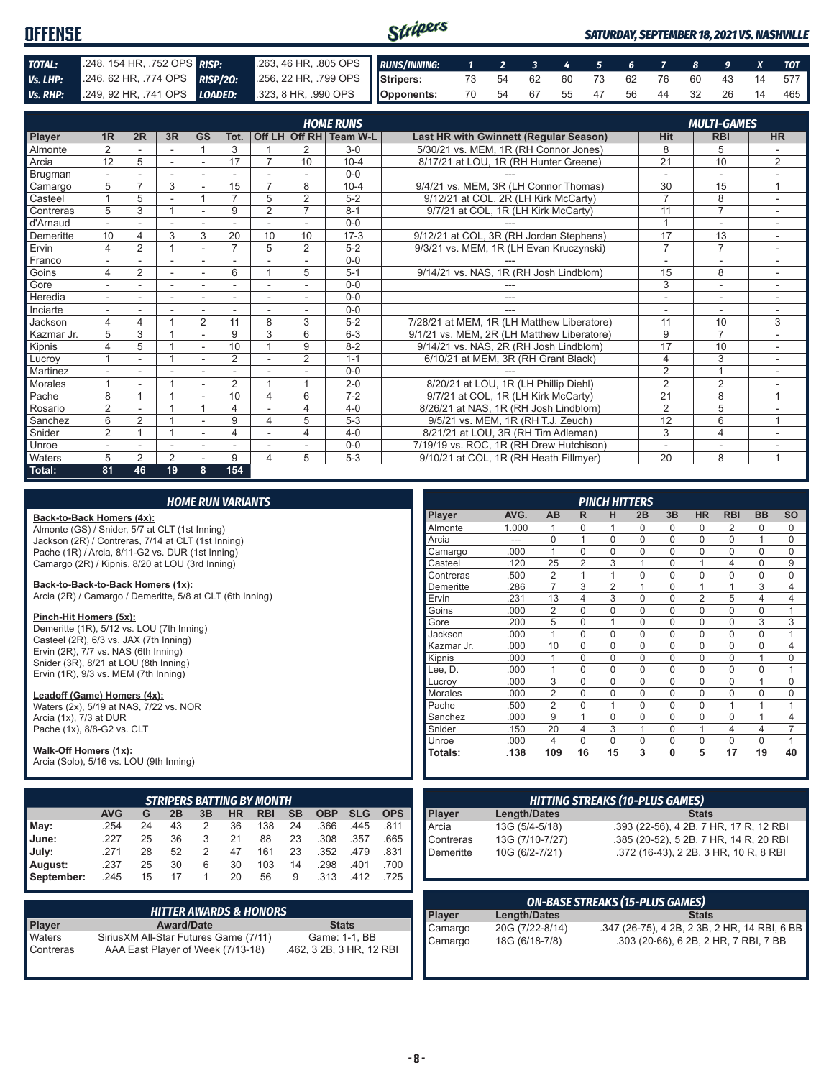| <b>OFFENSE</b> |                            |                                                                                              | Stripers |  |  |  |  |  | <b>SATURDAY, SEPTEMBER 18, 2021 VS. NASHVILLE</b> |
|----------------|----------------------------|----------------------------------------------------------------------------------------------|----------|--|--|--|--|--|---------------------------------------------------|
| TOTAL:         | 248, 154 HR, 752 OPS RISP: | 263, 46 HR, 305 OPS RUNS/INNING: 1 2 3 4 5 6 7 8 9 X TOT                                     |          |  |  |  |  |  |                                                   |
| Vs. LHP:       |                            | 246, 62 HR, 774 OPS RISP/20: 256, 22 HR, 799 OPS Stripers: 73 54 62 60 73 62 76 60 43 14 577 |          |  |  |  |  |  |                                                   |
|                |                            | Vs. RHP: 249, 92 HR, 741 OPS LOADED: 323, 8 HR, 990 OPS   Opponents:                         |          |  |  |  |  |  | 70 54 67 55 47 56 44 32 26 14 465                 |

|                |                |                |                |                |                |                          |                | <b>HOME RUNS</b>       |                                            |                          | <b>MULTI-GAMES</b>       |                          |
|----------------|----------------|----------------|----------------|----------------|----------------|--------------------------|----------------|------------------------|--------------------------------------------|--------------------------|--------------------------|--------------------------|
| Player         | 1 <sub>R</sub> | 2R             | 3R             | GS             | Tot.           |                          |                | Off LH Off RH Team W-L | Last HR with Gwinnett (Regular Season)     | Hit                      | <b>RBI</b>               | <b>HR</b>                |
| Almonte        | $\overline{2}$ |                |                |                | 3              |                          | 2              | $3-0$                  | 5/30/21 vs. MEM. 1R (RH Connor Jones)      | 8                        | 5                        |                          |
| Arcia          | 12             | 5              |                |                | 17             | 7                        | 10             | $10 - 4$               | 8/17/21 at LOU, 1R (RH Hunter Greene)      | 21                       | 10                       | $\overline{2}$           |
| <b>Brugman</b> |                |                |                |                |                |                          |                | $0 - 0$                |                                            |                          |                          |                          |
| Camargo        | 5              |                | 3              |                | 15             |                          | 8              | $10 - 4$               | 9/4/21 vs. MEM, 3R (LH Connor Thomas)      | 30                       | 15                       | $\overline{ }$           |
| Casteel        |                | 5              |                |                | $\overline{ }$ | 5                        | $\overline{2}$ | $5 - 2$                | 9/12/21 at COL, 2R (LH Kirk McCarty)       | $\overline{7}$           | 8                        |                          |
| Contreras      | 5              | 3              |                |                | 9              | 2                        | $\overline{7}$ | $8 - 1$                | 9/7/21 at COL, 1R (LH Kirk McCarty)        | 11                       | $\overline{7}$           |                          |
| d'Arnaud       |                |                |                |                |                |                          |                | $0 - 0$                |                                            |                          | -                        |                          |
| Demeritte      | 10             | 4              | 3              | 3              | 20             | 10                       | 10             | $17-3$                 | 9/12/21 at COL, 3R (RH Jordan Stephens)    | 17                       | 13                       | ٠.                       |
| Ervin          | 4              | $\overline{2}$ |                |                | $\overline{ }$ | 5                        | 2              | $5 - 2$                | 9/3/21 vs. MEM, 1R (LH Evan Kruczynski)    | $\overline{7}$           | $\overline{7}$           |                          |
| Franco         | ٠              |                | $\sim$         |                |                |                          | ۰              | $0 - 0$                |                                            | $\overline{\phantom{a}}$ | $\overline{\phantom{a}}$ | ٠                        |
| Goins          | 4              | $\overline{2}$ |                |                | 6              |                          | 5              | $5 - 1$                | 9/14/21 vs. NAS, 1R (RH Josh Lindblom)     | 15                       | 8                        |                          |
| Gore           |                |                |                |                |                |                          | ٠              | $0 - 0$                | ---                                        | 3                        | $\overline{a}$           | $\overline{\phantom{a}}$ |
| Heredia        | $\sim$         |                |                |                |                |                          | ۰              | $0 - 0$                | ---                                        | ٠                        | ٠                        |                          |
| Inciarte       | ٠              |                |                |                |                | $\overline{\phantom{a}}$ | ٠              | $0 - 0$                |                                            | ۰                        | ۰                        |                          |
| Jackson        | 4              | 4              |                | $\overline{2}$ | 11             | 8                        | 3              | $5 - 2$                | 7/28/21 at MEM, 1R (LH Matthew Liberatore) | 11                       | 10                       | 3                        |
| Kazmar Jr.     | 5              | 3              |                | ٠              | 9              | 3                        | 6              | $6 - 3$                | 9/1/21 vs. MEM, 2R (LH Matthew Liberatore) | 9                        | $\overline{7}$           |                          |
| Kipnis         | 4              | 5              |                |                | 10             |                          | 9              | $8 - 2$                | 9/14/21 vs. NAS, 2R (RH Josh Lindblom)     | 17                       | 10                       |                          |
| Lucrov         |                |                |                |                | $\overline{2}$ |                          | $\overline{2}$ | $1 - 1$                | 6/10/21 at MEM, 3R (RH Grant Black)        | $\overline{4}$           | 3                        | ٠.                       |
| Martinez       |                |                |                |                |                |                          |                | $0 - 0$                |                                            | 2                        | $\overline{A}$           |                          |
| <b>Morales</b> |                |                |                |                | 2              |                          | 4              | $2 - 0$                | 8/20/21 at LOU, 1R (LH Phillip Diehl)      | $\overline{2}$           | 2                        |                          |
| Pache          | 8              |                |                |                | 10             | $\overline{4}$           | 6              | $7-2$                  | 9/7/21 at COL, 1R (LH Kirk McCarty)        | 21                       | 8                        | $\overline{A}$           |
| Rosario        | $\overline{2}$ |                |                |                | 4              |                          | $\overline{4}$ | $4 - 0$                | 8/26/21 at NAS, 1R (RH Josh Lindblom)      | $\overline{2}$           | 5                        |                          |
| Sanchez        | 6              | 2              |                |                | 9              | $\overline{4}$           | 5              | $5 - 3$                | 9/5/21 vs. MEM, 1R (RH T.J. Zeuch)         | 12                       | 6                        | $\overline{ }$           |
| Snider         | 2              |                |                |                | 4              |                          | $\overline{4}$ | $4 - 0$                | 8/21/21 at LOU, 3R (RH Tim Adleman)        | 3                        | $\overline{4}$           |                          |
| Unroe          |                |                |                |                |                |                          |                | $0 - 0$                | 7/19/19 vs. ROC. 1R (RH Drew Hutchison)    | ۰                        | ۰                        |                          |
| Waters         | 5              | 2              | $\overline{2}$ |                | 9              | 4                        | 5              | $5 - 3$                | 9/10/21 at COL, 1R (RH Heath Fillmyer)     | 20                       | 8                        | 1                        |
| Total:         | 81             | 46             | 19             | 8              | 154            |                          |                |                        |                                            |                          |                          |                          |

| <b>HOME RUN VARIANTS</b>                                         |                                                                                     |    |                   |             |           |                                   |           |              |            |                |              |                          |                                        | <b>PINCH HITTERS</b> |              |                |              |                |                                              |                |                |
|------------------------------------------------------------------|-------------------------------------------------------------------------------------|----|-------------------|-------------|-----------|-----------------------------------|-----------|--------------|------------|----------------|--------------|--------------------------|----------------------------------------|----------------------|--------------|----------------|--------------|----------------|----------------------------------------------|----------------|----------------|
| Back-to-Back Homers (4x):                                        |                                                                                     |    |                   |             |           |                                   |           |              |            |                | Player       | AVG.                     | <b>AB</b>                              | R                    | н            | 2B             | 3B           | <b>HR</b>      | <b>RBI</b>                                   | <b>BB</b>      | <b>SO</b>      |
| Almonte (GS) / Snider, 5/7 at CLT (1st Inning)                   |                                                                                     |    |                   |             |           |                                   |           |              |            |                | Almonte      | 1.000                    |                                        | 0                    |              | 0              | $\mathbf 0$  | $\mathbf 0$    | 2                                            | 0              | 0              |
| Jackson (2R) / Contreras, 7/14 at CLT (1st Inning)               |                                                                                     |    |                   |             |           |                                   |           |              |            |                | Arcia        | $\overline{\phantom{a}}$ | 0                                      | $\mathbf{1}$         | $\mathbf 0$  | $\mathbf 0$    | $\mathbf 0$  | $\mathbf 0$    | $\mathbf 0$                                  | $\mathbf{1}$   | 0              |
| Pache (1R) / Arcia, 8/11-G2 vs. DUR (1st Inning)                 |                                                                                     |    |                   |             |           |                                   |           |              |            |                | Camargo      | .000                     | $\mathbf{1}$                           | $\Omega$             | $\mathbf 0$  | $\mathbf 0$    | $\mathbf 0$  | $\mathbf 0$    | $\Omega$                                     | $\mathbf 0$    | $\Omega$       |
| Camargo (2R) / Kipnis, 8/20 at LOU (3rd Inning)                  |                                                                                     |    |                   |             |           |                                   |           |              |            |                | Casteel      | .120                     | 25                                     | $\overline{2}$       | 3            | $\overline{1}$ | $\mathbf 0$  | $\mathbf{1}$   | 4                                            | $\mathbf 0$    | 9              |
|                                                                  |                                                                                     |    |                   |             |           |                                   |           |              |            |                | Contreras    | .500                     | $\overline{2}$                         | $\mathbf{1}$         | $\mathbf{1}$ | $\mathbf 0$    | $\mathbf 0$  | $\mathbf 0$    | $\Omega$                                     | $\mathbf 0$    | 0              |
| Back-to-Back-to-Back Homers (1x):                                |                                                                                     |    |                   |             |           |                                   |           |              |            |                | Demeritte    | .286                     | $\overline{7}$                         | 3                    | 2            | $\overline{1}$ | $\mathbf 0$  | $\mathbf{1}$   |                                              | 3              | $\overline{4}$ |
| Arcia (2R) / Camargo / Demeritte, 5/8 at CLT (6th Inning)        |                                                                                     |    |                   |             |           |                                   |           |              |            |                | Ervin        | .231                     | 13                                     | 4                    | 3            | $\mathbf 0$    | $\mathbf 0$  | $\overline{2}$ | 5                                            | $\overline{4}$ | 4              |
| Pinch-Hit Homers (5x):                                           |                                                                                     |    |                   |             |           |                                   |           |              |            |                | Goins        | .000                     | $\overline{2}$                         | $\Omega$             | $\mathbf 0$  | $\mathbf 0$    | $\mathbf 0$  | $\mathbf 0$    | $\Omega$                                     | $\mathbf 0$    | $\mathbf{1}$   |
|                                                                  |                                                                                     |    |                   |             |           |                                   |           |              |            |                | Gore         | .200                     | $\overline{5}$                         | 0                    | $\mathbf{1}$ | $\mathbf 0$    | $\mathbf 0$  | $\mathbf 0$    | $\mathbf{0}$                                 | 3              | 3              |
|                                                                  | Demeritte (1R), 5/12 vs. LOU (7th Inning)<br>Casteel (2R), 6/3 vs. JAX (7th Inning) |    |                   |             |           |                                   |           |              | Jackson    | .000           | $\mathbf{1}$ | $\Omega$                 | $\mathbf 0$                            | $\mathbf 0$          | $\mathbf 0$  | $\mathbf 0$    | $\mathbf 0$  | $\mathbf 0$    | $\mathbf{1}$                                 |                |                |
| Ervin (2R), 7/7 vs. NAS (6th Inning)                             |                                                                                     |    |                   |             |           |                                   |           |              |            |                | Kazmar Jr.   | .000                     | 10                                     | 0                    | $\mathbf 0$  | $\mathbf 0$    | $\mathbf 0$  | $\mathbf 0$    | $\mathbf 0$                                  | $\mathbf 0$    | $\overline{4}$ |
| Snider (3R), 8/21 at LOU (8th Inning)                            |                                                                                     |    |                   |             |           |                                   |           |              |            |                | Kipnis       | .000                     | $\mathbf{1}$                           | $\Omega$             | $\mathbf 0$  | $\mathbf 0$    | $\mathbf 0$  | $\mathbf 0$    | $\mathbf 0$                                  | $\mathbf{1}$   | 0              |
| Ervin (1R), 9/3 vs. MEM (7th Inning)                             |                                                                                     |    |                   |             |           |                                   |           |              |            |                | Lee, D.      | .000                     | $\mathbf{1}$                           | $\Omega$             | $\mathbf 0$  | $\Omega$       | $\mathbf 0$  | $\mathbf 0$    | $\Omega$                                     | $\mathbf 0$    | $\mathbf{1}$   |
|                                                                  |                                                                                     |    |                   |             |           |                                   |           |              |            |                | Lucrov       | .000                     | 3                                      | 0                    | $\mathbf 0$  | $\mathbf 0$    | $\mathbf 0$  | $\mathbf 0$    | $\mathbf{0}$                                 | $\mathbf{1}$   | 0              |
| Leadoff (Game) Homers (4x):                                      |                                                                                     |    |                   |             |           |                                   |           | Morales      | .000       | $\overline{2}$ | $\Omega$     | $\mathbf 0$              | $\mathbf 0$                            | $\mathbf 0$          | $\mathbf 0$  | $\mathbf{0}$   | $\mathbf 0$  | 0              |                                              |                |                |
| Waters (2x), 5/19 at NAS, 7/22 vs. NOR                           |                                                                                     |    |                   |             |           |                                   |           |              |            |                | Pache        | .500                     | $\mathbf{2}$                           | 0                    | $\mathbf{1}$ | $\mathbf 0$    | $\mathbf 0$  | $\mathbf 0$    | $\mathbf{1}$                                 | 1              | $\mathbf{1}$   |
| Arcia (1x), 7/3 at DUR                                           |                                                                                     |    |                   |             |           |                                   |           |              |            |                | Sanchez      | .000                     | 9                                      | $\mathbf{1}$         | $\mathbf 0$  | $\mathbf 0$    | $\mathbf 0$  | $\mathbf 0$    | $\mathbf 0$                                  | 1              | 4              |
| Pache (1x), 8/8-G2 vs. CLT                                       |                                                                                     |    |                   |             |           |                                   |           |              |            |                | Snider       | .150                     | 20                                     | 4                    | 3            | 1              | $\mathbf 0$  | $\mathbf{1}$   | $\overline{4}$                               | $\overline{4}$ | $\overline{7}$ |
|                                                                  |                                                                                     |    |                   |             |           |                                   |           |              |            |                | Unroe        | .000                     | $\overline{4}$                         | $\Omega$             | $\mathbf 0$  | $\mathbf 0$    | $\mathbf 0$  | $\mathbf 0$    | $\mathbf{0}$                                 | $\mathbf 0$    | $\mathbf{1}$   |
| Walk-Off Homers (1x):<br>Arcia (Solo), 5/16 vs. LOU (9th Inning) |                                                                                     |    |                   |             |           |                                   |           |              |            |                | Totals:      | .138                     | 109                                    | 16                   | 15           | 3              | $\mathbf{0}$ | 5              | $\overline{17}$                              | 19             | 40             |
|                                                                  |                                                                                     |    |                   |             |           | <b>STRIPERS BATTING BY MONTH</b>  |           |              |            |                |              |                          | <b>HITTING STREAKS (10-PLUS GAMES)</b> |                      |              |                |              |                |                                              |                |                |
|                                                                  | <b>AVG</b>                                                                          | G  | 2B                | 3B          | <b>HR</b> | <b>RBI</b>                        | <b>SB</b> | <b>OBP</b>   | <b>SLG</b> | <b>OPS</b>     | Player       | <b>Length/Dates</b>      |                                        |                      |              |                |              | <b>Stats</b>   |                                              |                |                |
| May:                                                             | .254                                                                                | 24 | 43                | 2           | 36        | 138                               | 24        | .366         | .445       | .811           | Arcia        | 13G (5/4-5/18)           |                                        |                      |              |                |              |                | .393 (22-56), 4 2B, 7 HR, 17 R, 12 RBI       |                |                |
| June:                                                            | .227                                                                                | 25 | 36                | 3           | 21        | 88                                | 23        | .308         | .357       | .665           | Contreras    | 13G (7/10-7/27)          |                                        |                      |              |                |              |                | .385 (20-52), 5 2B, 7 HR, 14 R, 20 RBI       |                |                |
| July:                                                            | .271                                                                                | 28 | 52                | 2           | 47        | 161                               | 23        | .352         | .479       | .831           | Demeritte    | 10G (6/2-7/21)           |                                        |                      |              |                |              |                | .372 (16-43), 2 2B, 3 HR, 10 R, 8 RBI        |                |                |
| August:                                                          | .237                                                                                | 25 | 30                | 6           | 30        | 103                               | 14        | .298         | .401       | .700           |              |                          |                                        |                      |              |                |              |                |                                              |                |                |
| September:                                                       | .245                                                                                | 15 | 17                | $\mathbf 1$ | 20        | 56                                | 9         | .313         | .412       | .725           |              |                          |                                        |                      |              |                |              |                |                                              |                |                |
|                                                                  |                                                                                     |    |                   |             |           |                                   |           |              |            |                |              |                          |                                        |                      |              |                |              |                |                                              |                |                |
|                                                                  |                                                                                     |    |                   |             |           |                                   |           |              |            |                |              |                          | <b>ON-BASE STREAKS (15-PLUS GAMES)</b> |                      |              |                |              |                |                                              |                |                |
|                                                                  |                                                                                     |    |                   |             |           | <b>HITTER AWARDS &amp; HONORS</b> |           |              |            |                | Player       | <b>Length/Dates</b>      |                                        |                      |              |                |              | <b>Stats</b>   |                                              |                |                |
| Player                                                           |                                                                                     |    | <b>Award/Date</b> |             |           |                                   |           | <b>Stats</b> |            |                | Camargo      | 20G (7/22-8/14)          |                                        |                      |              |                |              |                | .347 (26-75), 4 2B, 2 3B, 2 HR, 14 RBI, 6 BB |                |                |

Waters SiriusXM All-Star Futures Game (7/11) Game: 1-1, BB Contreras AAA East Player of Week (7/13-18) .462, 3 2B, 3 HR, 12 RBI

Camargo 18G (6/18-7/8) .303 (20-66), 6 2B, 2 HR, 7 RBI, 7 BB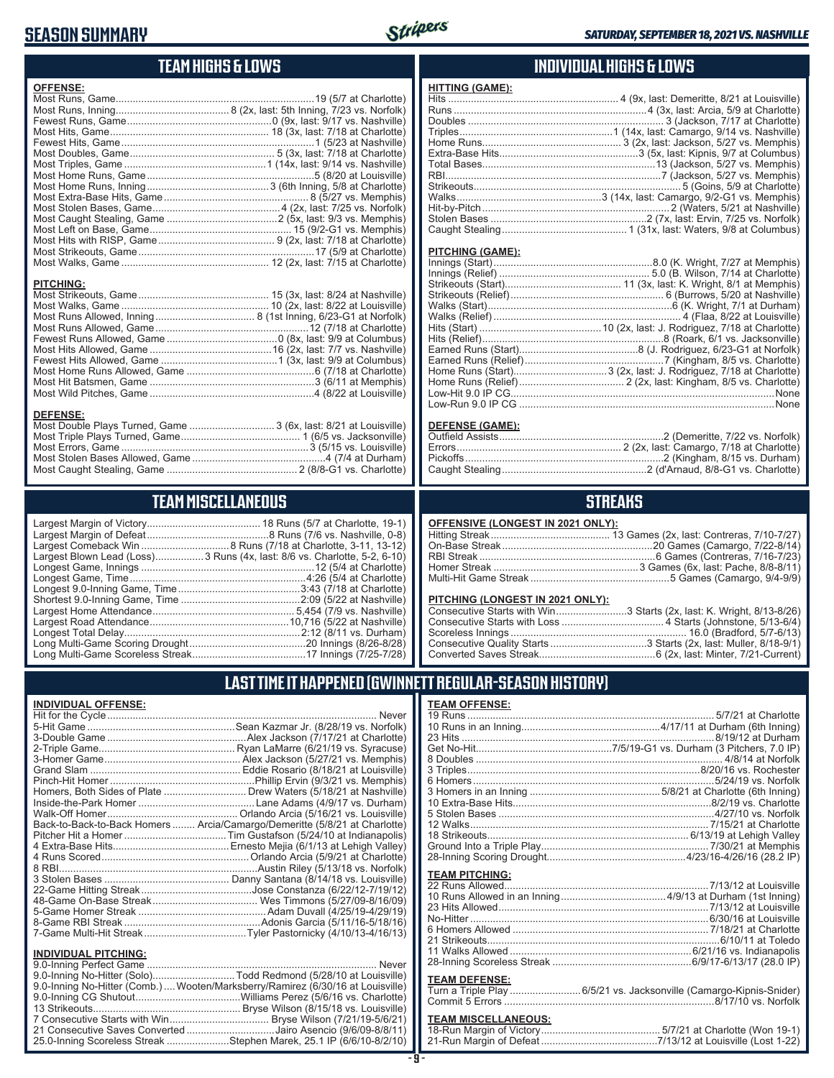### **SEASON SUMMARY**



### **TEAM HIGHS & LOWS**

| <b>OFFENSE:</b>                                                  |  |
|------------------------------------------------------------------|--|
|                                                                  |  |
|                                                                  |  |
|                                                                  |  |
|                                                                  |  |
|                                                                  |  |
|                                                                  |  |
|                                                                  |  |
|                                                                  |  |
|                                                                  |  |
|                                                                  |  |
|                                                                  |  |
|                                                                  |  |
|                                                                  |  |
|                                                                  |  |
|                                                                  |  |
|                                                                  |  |
|                                                                  |  |
|                                                                  |  |
| <b>PITCHING:</b>                                                 |  |
|                                                                  |  |
|                                                                  |  |
|                                                                  |  |
|                                                                  |  |
|                                                                  |  |
|                                                                  |  |
|                                                                  |  |
|                                                                  |  |
|                                                                  |  |
|                                                                  |  |
|                                                                  |  |
| <b>DEFENSE:</b>                                                  |  |
| Most Double Plays Turned, Game  3 (6x, last: 8/21 at Louisville) |  |
|                                                                  |  |

Most Stolen Bases Allowed, Game ...............................................4 (7/4 at Durham) Most Caught Stealing, Game .............................................. 2 (8/8-G1 vs. Charlotte)

### **TEAM MISCELLANEOUS**

| Largest Blown Lead (Loss)3 Runs (4x, last: 8/6 vs. Charlotte, 5-2, 6-10) |
|--------------------------------------------------------------------------|
|                                                                          |
|                                                                          |
|                                                                          |
|                                                                          |
|                                                                          |
|                                                                          |
|                                                                          |
|                                                                          |
|                                                                          |

### **INDIVIDUAL HIGHS & LOWS**

| <b>HITTING (GAME):</b> |  |
|------------------------|--|
|                        |  |
|                        |  |
|                        |  |
|                        |  |
|                        |  |
|                        |  |
|                        |  |
|                        |  |
|                        |  |
|                        |  |
|                        |  |
|                        |  |
|                        |  |
|                        |  |

#### **PITCHING (GAME):**

#### **DEFENSE (GAME):**

### **STREAKS**

#### **OFFENSIVE (LONGEST IN 2021 ONLY):**

#### **PITCHING (LONGEST IN 2021 ONLY):**

| Consecutive Starts with Win3 Starts (2x, last: K. Wright, 8/13-8/26) |
|----------------------------------------------------------------------|
|                                                                      |
|                                                                      |
|                                                                      |
|                                                                      |
|                                                                      |

### **LAST TIME IT HAPPENED (GWINNETT REGULAR-SEASON HISTORY)**

#### **INDIVIDUAL OFFENSE:**

|                                                               | Homers, Both Sides of Plate ………………………… Drew Waters (5/18/21 at Nashville)  |
|---------------------------------------------------------------|----------------------------------------------------------------------------|
|                                                               |                                                                            |
|                                                               |                                                                            |
|                                                               | Back-to-Back-to-Back Homers  Arcia/Camargo/Demeritte (5/8/21 at Charlotte) |
|                                                               |                                                                            |
|                                                               |                                                                            |
|                                                               |                                                                            |
|                                                               |                                                                            |
|                                                               |                                                                            |
|                                                               |                                                                            |
|                                                               |                                                                            |
|                                                               |                                                                            |
|                                                               |                                                                            |
|                                                               |                                                                            |
|                                                               |                                                                            |
| <b>INDIVIDUAL PITCHING:</b><br><b>Q O-Inning Perfect Game</b> | Never                                                                      |
|                                                               |                                                                            |

| 9.0-Inning No-Hitter (Comb.) Wooten/Marksberry/Ramirez (6/30/16 at Louisville) |
|--------------------------------------------------------------------------------|
|                                                                                |
|                                                                                |
|                                                                                |
| 21 Consecutive Saves Converted Jairo Asencio (9/6/09-8/8/11)                   |
| 25.0-Inning Scoreless Streak Stephen Marek, 25.1 IP (6/6/10-8/2/10)            |

#### **TEAM OFFENSE:**

| <b>TEAM PITCHING:</b> |  |
|-----------------------|--|
|                       |  |
|                       |  |
|                       |  |
|                       |  |
|                       |  |
|                       |  |
|                       |  |
|                       |  |
| <b>TEAM DEFENSE.</b>  |  |
|                       |  |

#### **TEAM DEFENSE:**

| Turn a Triple Play 6/5/21 vs. Jacksonville (Camargo-Kipnis-Snider) |  |  |
|--------------------------------------------------------------------|--|--|
|                                                                    |  |  |

### **TEAM MISCELLANEOUS:**<br>18-Run Margin of Victory....